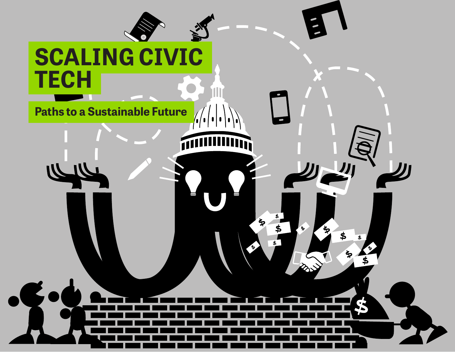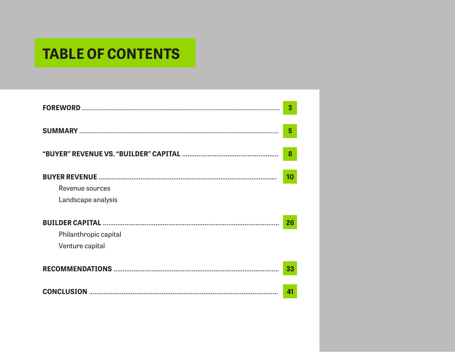# **TABLE OF CONTENTS**

|                                          | 3  |
|------------------------------------------|----|
|                                          | 5  |
|                                          | 8  |
| Revenue sources<br>Landscape analysis    | 10 |
| Philanthropic capital<br>Venture capital | 26 |
|                                          | 33 |
| <b>CONCLUSION</b>                        | 41 |

Sustaining Civic Tech **2 KNIGHT**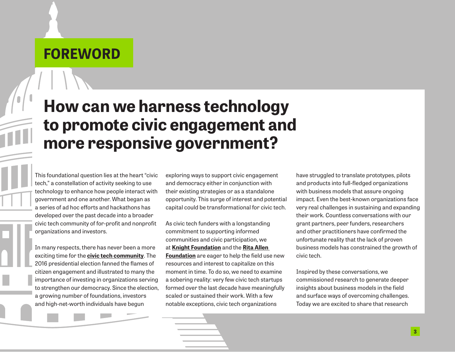# **FOREWORD**

# **How can we harness technology to promote civic engagement and more responsive government?**

This foundational question lies at the heart "civic tech," a constellation of activity seeking to use technology to enhance how people interact with government and one another. What began as a series of ad hoc efforts and hackathons has developed over the past decade into a broader civic tech community of for-profit and nonprofit organizations and investors.

In many respects, there has never been a more exciting time for the **[civic tech community](http://enginesofchange.omidyar.com/)**. The 2016 presidential election fanned the flames of citizen engagement and illustrated to many the importance of investing in organizations serving to strengthen our democracy. Since the election, a growing number of foundations, investors and high-net-worth individuals have begun

exploring ways to support civic engagement and democracy either in conjunction with their existing strategies or as a standalone opportunity. This surge of interest and potential capital could be transformational for civic tech.

As civic tech funders with a longstanding commitment to supporting informed communities and civic participation, we at **[Knight Foundation](https://www.knightfoundation.org)** and the **[Rita Allen](http://www.ritaallen.org)  [Foundation](http://www.ritaallen.org)** are eager to help the field use new resources and interest to capitalize on this moment in time. To do so, we need to examine a sobering reality: very few civic tech startups formed over the last decade have meaningfully scaled or sustained their work. With a few notable exceptions, civic tech organizations

have struggled to translate prototypes, pilots and products into full-fledged organizations with business models that assure ongoing impact. Even the best-known organizations face very real challenges in sustaining and expanding their work. Countless conversations with our grant partners, peer funders, researchers and other practitioners have confirmed the unfortunate reality that the lack of proven business models has constrained the growth of civic tech.

Inspired by these conversations, we commissioned research to generate deeper insights about business models in the field and surface ways of overcoming challenges. Today we are excited to share that research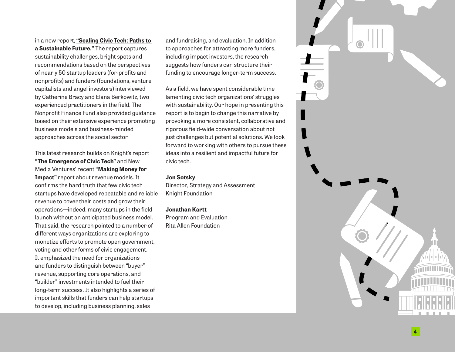in a new report, **["Scaling Civic Tech: Paths to](http://kng.ht/civictechbiz)  [a Sustainable Future."](http://kng.ht/civictechbiz)** The report captures sustainability challenges, bright spots and recommendations based on the perspectives of nearly 50 startup leaders (for-profits and nonprofits) and funders (foundations, venture capitalists and angel investors) interviewed by Catherine Bracy and Elana Berkowitz, two experienced practitioners in the field. The Nonprofit Finance Fund also provided guidance based on their extensive experience promoting business models and business-minded approaches across the social sector.

This latest research builds on Knight's report **["The Emergence of Civic Tech"](https://www.knightfoundation.org/features/civictech/)** and New Media Ventures' recent **["Making Money for](http://www.newmediaventures.org/making-money-impact/)  [Impact"](http://www.newmediaventures.org/making-money-impact/)** report about revenue models. It confirms the hard truth that few civic tech startups have developed repeatable and reliable revenue to cover their costs and grow their operations—indeed, many startups in the field launch without an anticipated business model. That said, the research pointed to a number of different ways organizations are exploring to monetize efforts to promote open government, voting and other forms of civic engagement. It emphasized the need for organizations and funders to distinguish between "buyer" revenue, supporting core operations, and "builder" investments intended to fuel their long-term success. It also highlights a series of important skills that funders can help startups to develop, including business planning, sales

and fundraising, and evaluation. In addition to approaches for attracting more funders, including impact investors, the research suggests how funders can structure their funding to encourage longer-term success.

As a field, we have spent considerable time lamenting civic tech organizations' struggles with sustainability. Our hope in presenting this report is to begin to change this narrative by provoking a more consistent, collaborative and rigorous field-wide conversation about not just challenges but potential solutions. We look forward to working with others to pursue these ideas into a resilient and impactful future for civic tech.

### **Jon Sotsky**

Director, Strategy and Assessment Knight Foundation

## **Jonathan Kartt**

Program and Evaluation Rita Allen Foundation

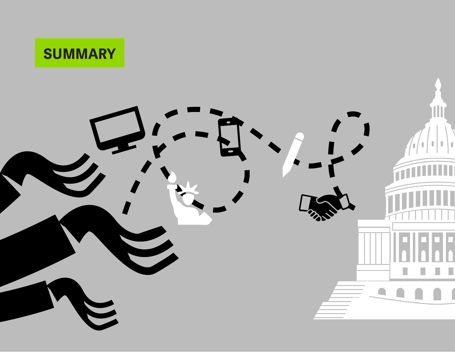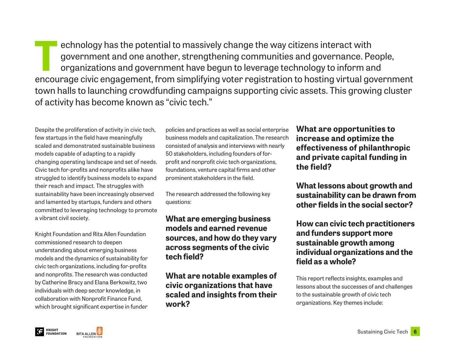**TECHNOLOGY** has the potential to massively change the way citizens interact with<br>government and one another, strengthening communities and governance. Per<br>organizations and government have begun to leverage technology to government and one another, strengthening communities and governance. People, organizations and government have begun to leverage technology to inform and encourage civic engagement, from simplifying voter registration to hosting virtual government town halls to launching crowdfunding campaigns supporting civic assets. This growing cluster of activity has become known as "civic tech."

Despite the proliferation of activity in civic tech, few startups in the field have meaningfully scaled and demonstrated sustainable business models capable of adapting to a rapidly changing operating landscape and set of needs. Civic tech for-profits and nonprofits alike have struggled to identify business models to expand their reach and impact. The struggles with sustainability have been increasingly observed and lamented by startups, funders and others committed to leveraging technology to promote a vibrant civil society.

Knight Foundation and Rita Allen Foundation commissioned research to deepen understanding about emerging business models and the dynamics of sustainability for civic tech organizations, including for-profits and nonprofits. The research was conducted by Catherine Bracy and Elana Berkowitz, two individuals with deep sector knowledge, in collaboration with Nonprofit Finance Fund, which brought significant expertise in funder

policies and practices as well as social enterprise business models and capitalization. The research consisted of analysis and interviews with nearly 50 stakeholders, including founders of forprofit and nonprofit civic tech organizations, foundations, venture capital firms and other prominent stakeholders in the field.

The research addressed the following key questions:

# **What are emerging business models and earned revenue sources, and how do they vary across segments of the civic tech field?**

**What are notable examples of civic organizations that have scaled and insights from their work?**

**What are opportunities to increase and optimize the effectiveness of philanthropic and private capital funding in the field?**

**What lessons about growth and sustainability can be drawn from other fields in the social sector?**

**How can civic tech practitioners and funders support more sustainable growth among individual organizations and the field as a whole?**

This report reflects insights, examples and lessons about the successes of and challenges to the sustainable growth of civic tech organizations. Key themes include:

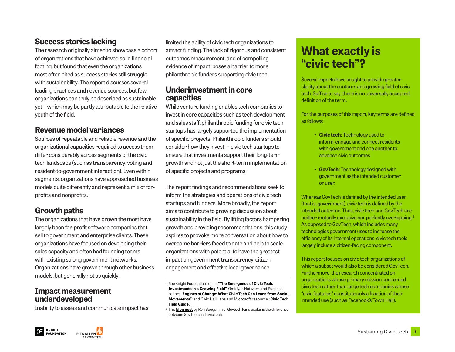# **Success stories lacking**

The research originally aimed to showcase a cohort of organizations that have achieved solid financial footing, but found that even the organizations most often cited as success stories still struggle with sustainability. The report discusses several leading practices and revenue sources, but few organizations can truly be described as sustainable yet—which may be partly attributable to the relative youth of the field.

# **Revenue model variances**

Sources of repeatable and reliable revenue and the organizational capacities required to access them differ considerably across segments of the civic tech landscape (such as transparency, voting and resident-to-government interaction). Even within segments, organizations have approached business models quite differently and represent a mix of forprofits and nonprofits.

# **Growth paths**

The organizations that have grown the most have largely been for-profit software companies that sell to government and enterprise clients. These organizations have focused on developing their sales capacity and often had founding teams with existing strong government networks. Organizations have grown through other business models, but generally not as quickly.

# **Impact measurement underdeveloped**

Inability to assess and communicate impact has

limited the ability of civic tech organizations to attract funding. The lack of rigorous and consistent outcomes measurement, and of compelling evidence of impact, poses a barrier to more philanthropic funders supporting civic tech.

# **Underinvestment in core capacities**

While venture funding enables tech companies to invest in core capacities such as tech development and sales staff, philanthropic funding for civic tech startups has largely supported the implementation of specific projects. Philanthropic funders should consider how they invest in civic tech startups to ensure that investments support their long-term growth and not just the short-term implementation of specific projects and programs.

The report findings and recommendations seek to inform the strategies and operations of civic tech startups and funders. More broadly, the report aims to contribute to growing discussion about sustainability in the field. By lifting factors hampering growth and providing recommendations, this study aspires to provoke more conversation about how to overcome barriers faced to date and help to scale organizations with potential to have the greatest impact on government transparency, citizen engagement and effective local governance.

# **What exactly is "civic tech"?**

Several reports have sought to provide greater clarity about the contours and growing field of civic tech. Suffice to say, there is no universally accepted definition of the term.

For the purposes of this report, key terms are defined as follows:

- **• Civic tech:** Technology used to inform, engage and connect residents with government and one another to advance civic outcomes.
- **• GovTech:** Technology designed with government as the intended customer or user.

Whereas GovTech is defined by the intended user (that is, government), civic tech is defined by the intended outcome. Thus, civic tech and GovTech are neither mutually exclusive nor perfectly overlapping.2 As opposed to GovTech, which includes many technologies government uses to increase the efficiency of its internal operations, civic tech tools largely include a citizen-facing component.

This report focuses on civic tech organizations of which a subset would also be considered GovTech. Furthermore, the research concentrated on organizations whose primary mission concerned civic tech rather than large tech companies whose "civic features" constitute only a fraction of their intended use (such as Facebook's Town Hall).



<sup>1</sup> See Knight Foundation report **["The Emergence of Civic Tech:](http://www.knightfoundation.org/features/civictech/)  [Investments in a Growing Field"](http://www.knightfoundation.org/features/civictech/)**; Omidyar Network and Purpose report **["Engines of Change: What Civic Tech Can Learn from Social](http://enginesofchange.omidyar.com/)  [Movements"](http://enginesofchange.omidyar.com/)**; and Civic Hall Labs and Microsoft resource **["Civic Tech](https://docs.google.com/spreadsheets/d/1FzmvVAKOOFdixCs7oz88cz9g1fFPHDlg0AHgHCwhf4A/edit#gid=963594345)  [Field Guide."](https://docs.google.com/spreadsheets/d/1FzmvVAKOOFdixCs7oz88cz9g1fFPHDlg0AHgHCwhf4A/edit#gid=963594345)**

<sup>2</sup> This **[blog post](http://govtechfund.com/2016/01/govtech-the-400-billion-market-hiding-in-plain-sight/)** by Ron Bouganim of Govtech Fund explains the difference between GovTech and civic tech.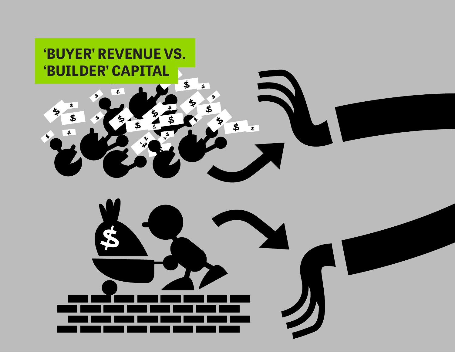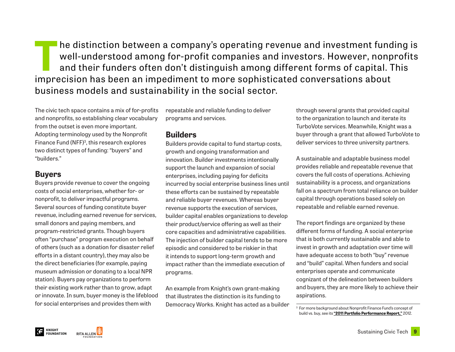The distinction between a company's operating revenue and investment funding is<br>well-understood among for-profit companies and investors. However, nonprofits<br>and their funders often don't distinguish among different forms well-understood among for-profit companies and investors. However, nonprofits and their funders often don't distinguish among different forms of capital. This imprecision has been an impediment to more sophisticated conversations about business models and sustainability in the social sector.

The civic tech space contains a mix of for-profits and nonprofits, so establishing clear vocabulary from the outset is even more important. Adopting terminology used by the Nonprofit Finance Fund (NFF)3 , this research explores two distinct types of funding: "buyers" and "builders."

# **Buyers**

Buyers provide revenue to cover the ongoing costs of social enterprises, whether for- or nonprofit, to deliver impactful programs. Several sources of funding constitute buyer revenue, including earned revenue for services, small donors and paying members, and program-restricted grants. Though buyers often "purchase" program execution on behalf of others (such as a donation for disaster relief efforts in a distant country), they may also be the direct beneficiaries (for example, paying museum admission or donating to a local NPR station). Buyers pay organizations to perform their existing work rather than to grow, adapt or innovate. In sum, buyer money is the lifeblood for social enterprises and provides them with

repeatable and reliable funding to deliver programs and services.

# **Builders**

Builders provide capital to fund startup costs, growth and ongoing transformation and innovation. Builder investments intentionally support the launch and expansion of social enterprises, including paying for deficits incurred by social enterprise business lines until these efforts can be sustained by repeatable and reliable buyer revenues. Whereas buyer revenue supports the execution of services, builder capital enables organizations to develop their product/service offering as well as their core capacities and administrative capabilities. The injection of builder capital tends to be more episodic and considered to be riskier in that it intends to support long-term growth and impact rather than the immediate execution of programs.

An example from Knight's own grant-making that illustrates the distinction is its funding to Democracy Works. Knight has acted as a builder through several grants that provided capital to the organization to launch and iterate its TurboVote services. Meanwhile, Knight was a buyer through a grant that allowed TurboVote to deliver services to three university partners.

A sustainable and adaptable business model provides reliable and repeatable revenue that covers the full costs of operations. Achieving sustainability is a process, and organizations fall on a spectrum from total reliance on builder capital through operations based solely on repeatable and reliable earned revenue.

The report findings are organized by these different forms of funding. A social enterprise that is both currently sustainable and able to invest in growth and adaptation over time will have adequate access to both "buy" revenue and "build" capital. When funders and social enterprises operate and communicate cognizant of the delineation between builders and buyers, they are more likely to achieve their aspirations.



<sup>3</sup> For more background about Nonprofit Finance Fund's concept of build vs. buy, see its **["2011 Portfolio Performance Report,"](http://c.ymcdn.com/sites/www.philanthropynetwork.org/resource/resmgr/research_reports/2011nffrpt_philanequity.pdf)** 2012.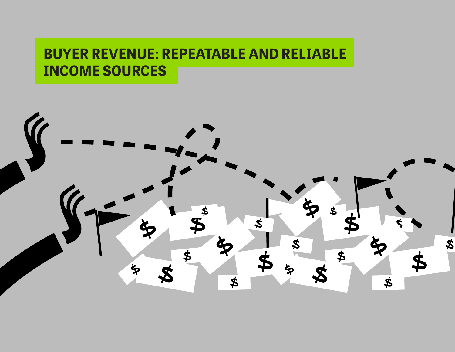# **BUYER REVENUE: REPEATABLE AND RELIABLE INCOME SOURCES**

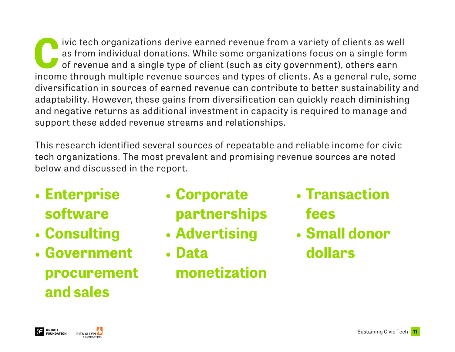**C**ivic tech organizations derive earned revenue from a variety of clients as well<br>as from individual donations. While some organizations focus on a single form<br>of revenue and a single type of client (such as city governme as from individual donations. While some organizations focus on a single form of revenue and a single type of client (such as city government), others earn income through multiple revenue sources and types of clients. As a general rule, some diversification in sources of earned revenue can contribute to better sustainability and adaptability. However, these gains from diversification can quickly reach diminishing and negative returns as additional investment in capacity is required to manage and support these added revenue streams and relationships.

This research identified several sources of repeatable and reliable income for civic tech organizations. The most prevalent and promising revenue sources are noted below and discussed in the report.

- **Enterprise software**
- **Consulting**
- **Government procurement and sales**
- **Corporate partnerships**
- **Advertising**
- **Data monetization**
- **Transaction fees**
- **Small donor dollars**

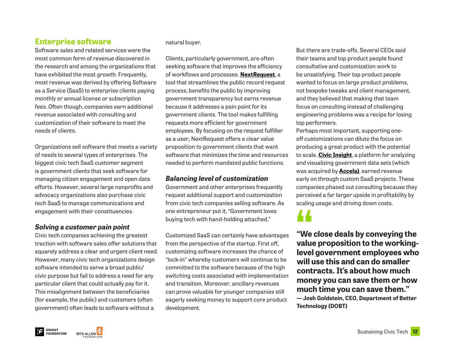# **Enterprise software**

Software sales and related services were the most common form of revenue discovered in the research and among the organizations that have exhibited the most growth. Frequently, most revenue was derived by offering Software as a Service (SaaS) to enterprise clients paying monthly or annual license or subscription fees. Often though, companies earn additional revenue associated with consulting and customization of their software to meet the needs of clients.

Organizations sell software that meets a variety of needs to several types of enterprises. The biggest civic tech SaaS customer segment is government clients that seek software for managing citizen engagement and open data efforts. However, several large nonprofits and advocacy organizations also purchase civic tech SaaS to manage communications and engagement with their constituencies.

# *Solving a customer pain point*

Civic tech companies achieving the greatest traction with software sales offer solutions that squarely address a clear and urgent client need. However, many civic tech organizations design software intended to serve a broad public/ civic purpose but fail to address a need for any particular client that could actually pay for it. This misalignment between the beneficiaries (for example, the public) and customers (often government) often leads to software without a

natural buyer.

Clients, particularly government, are often seeking software that improves the efficiency of workflows and processes. **[NextRequest](https://www.nextrequest.com/)**, a tool that streamlines the public record request process, benefits the public by improving government transparency but earns revenue because it addresses a pain point for its government clients. The tool makes fulfilling requests more efficient for government employees. By focusing on the request fulfiller as a user, NextRequest offers a clear value proposition to government clients that want software that minimizes the time and resources needed to perform mandated public functions.

# *Balancing level of customization*

Government and other enterprises frequently request additional support and customization from civic tech companies selling software. As one entrepreneur put it, "Government loves buying tech with hand-holding attached."

Customized SaaS can certainly have advantages from the perspective of the startup. First off, customizing software increases the chance of "lock-in" whereby customers will continue to be committed to the software because of the high switching costs associated with implementation and transition. Moreover, ancillary revenues can prove valuable for younger companies still eagerly seeking money to support core product development.

But there are trade-offs. Several CEOs said their teams and top product people found consultative and customization work to be unsatisfying. Their top product people wanted to focus on large product problems, not bespoke tweaks and client management, and they believed that making that team focus on consulting instead of challenging engineering problems was a recipe for losing top performers.

Perhaps most important, supporting oneoff customizations can dilute the focus on producing a great product with the potential to scale. **[Civic Insight](http://civicinsight.com/)**, a platform for analyzing and visualizing government data sets (which was acquired by **[Accela\)](http://accela.com/)**, earned revenue early on through custom SaaS projects. These companies phased out consulting because they perceived a far larger upside in profitability by scaling usage and driving down costs.

**11**<br>"We<br>value **"We close deals by conveying the value proposition to the workinglevel government employees who will use this and can do smaller contracts. It's about how much money you can save them or how much time you can save them." — Josh Goldstein, CEO, Department of Better Technology (DOBT)**

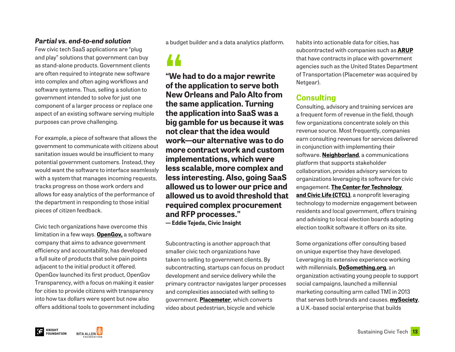# *Partial vs. end-to-end solution*

Few civic tech SaaS applications are "plug and play" solutions that government can buy as stand-alone products. Government clients are often required to integrate new software into complex and often aging workflows and software systems. Thus, selling a solution to government intended to solve for just one component of a larger process or replace one aspect of an existing software serving multiple purposes can prove challenging.

For example, a piece of software that allows the government to communicate with citizens about sanitation issues would be insufficient to many potential government customers. Instead, they would want the software to interface seamlessly with a system that manages incoming requests, tracks progress on those work orders and allows for easy analytics of the performance of the department in responding to those initial pieces of citizen feedback.

Civic tech organizations have overcome this limitation in a few ways. **[OpenGov,](https://opengov.com/)** a software company that aims to advance government efficiency and accountability, has developed a full suite of products that solve pain points adjacent to the initial product it offered. OpenGov launched its first product, OpenGov Transparency, with a focus on making it easier for cities to provide citizens with transparency into how tax dollars were spent but now also offers additional tools to government including a budget builder and a data analytics platform.

# **"**

**"We had to do a major rewrite of the application to serve both New Orleans and Palo Alto from the same application. Turning the application into SaaS was a big gamble for us because it was not clear that the idea would work—our alternative was to do more contract work and custom implementations, which were less scalable, more complex and less interesting. Also, going SaaS allowed us to lower our price and allowed us to avoid threshold that required complex procurement and RFP processes." — Eddie Tejeda, Civic Insight**

Subcontracting is another approach that smaller civic tech organizations have taken to selling to government clients. By subcontracting, startups can focus on product development and service delivery while the primary contractor navigates larger processes and complexities associated with selling to government. **[Placemeter](https://www.placemeter.com/)**, which converts video about pedestrian, bicycle and vehicle

habits into actionable data for cities, has subcontracted with companies such as **[ARUP](http://www.arup.com/)** that have contracts in place with government agencies such as the United States Department of Transportation (Placemeter was acquired by Netgear).

# **Consulting**

Consulting, advisory and training services are a frequent form of revenue in the field, though few organizations concentrate solely on this revenue source. Most frequently, companies earn consulting revenues for services delivered in conjunction with implementing their software. **[Neighborland](https://neighborland.com/)**, a communications platform that supports stakeholder collaboration, provides advisory services to organizations leveraging its software for civic engagement. **[The Center for Technology](https://www.techandciviclife.org/)  [and Civic Life \(CTCL\)](https://www.techandciviclife.org/)**, a nonprofit leveraging technology to modernize engagement between residents and local government, offers training and advising to local election boards adopting election toolkit software it offers on its site.

Some organizations offer consulting based on unique expertise they have developed. Leveraging its extensive experience working with millennials, **[DoSomething.org](https://www.dosomething.org/us)**, an organization activating young people to support social campaigns, launched a millennial marketing consulting arm called TMI in 2013 that serves both brands and causes. **[mySociety](https://www.mysociety.org/)**, a U.K.-based social enterprise that builds

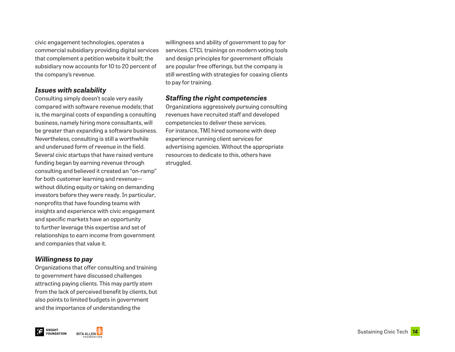civic engagement technologies, operates a commercial subsidiary providing digital services that complement a petition website it built; the subsidiary now accounts for 10 to 20 percent of the company's revenue.

# *Issues with scalability*

Consulting simply doesn't scale very easily compared with software revenue models; that is, the marginal costs of expanding a consulting business, namely hiring more consultants, will be greater than expanding a software business. Nevertheless, consulting is still a worthwhile and underused form of revenue in the field. Several civic startups that have raised venture funding began by earning revenue through consulting and believed it created an "on-ramp" for both customer learning and revenue without diluting equity or taking on demanding investors before they were ready. In particular, nonprofits that have founding teams with insights and experience with civic engagement and specific markets have an opportunity to further leverage this expertise and set of relationships to earn income from government and companies that value it.

## *Willingness to pay*

Organizations that offer consulting and training to government have discussed challenges attracting paying clients. This may partly stem from the lack of perceived benefit by clients, but also points to limited budgets in government and the importance of understanding the

**K N I G H T FOUNDATION** 



willingness and ability of government to pay for services. CTCL trainings on modern voting tools and design principles for government officials are popular free offerings, but the company is still wrestling with strategies for coaxing clients to pay for training.

# *Staffing the right competencies*

Organizations aggressively pursuing consulting revenues have recruited staff and developed competencies to deliver these services. For instance, TMI hired someone with deep experience running client services for advertising agencies. Without the appropriate resources to dedicate to this, others have struggled.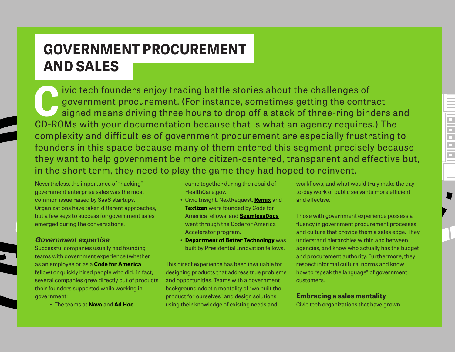# **GOVERNMENT PROCUREMENT AND SALES**

I vic tech founders enjoy trading battle stories about the challenges of<br>government procurement. (For instance, sometimes getting the contr<br>signed means driving three hours to drop off a stack of three-ring bin<br>CD-POMe wit government procurement. (For instance, sometimes getting the contract signed means driving three hours to drop off a stack of three-ring binders and CD-ROMs with your documentation because that is what an agency requires.) The complexity and difficulties of government procurement are especially frustrating to founders in this space because many of them entered this segment precisely because they want to help government be more citizen-centered, transparent and effective but, in the short term, they need to play the game they had hoped to reinvent.

Nevertheless, the importance of "hacking" government enterprise sales was the most common issue raised by SaaS startups. Organizations have taken different approaches, but a few keys to success for government sales emerged during the conversations.

## *Government expertise*

Successful companies usually had founding teams with government experience (whether as an employee or as a **[Code for America](https://www.codeforamerica.org/)** fellow) or quickly hired people who did. In fact, several companies grew directly out of products their founders supported while working in government:

**•** The teams at **[Nava](http://navahq.com/)** and **[Ad Hoc](https://adhocteam.us/)**

 came together during the rebuild of [HealthCare.gov](http://HealthCare.gov).

- **•** Civic Insight, NextRequest, **[Remix](https://www.remix.com/)** and **[Textizen](http://www.textizen.com/)** were founded by Code for America fellows, and **[SeamlessDocs](https://www.seamlessdocs.com/)** went through the Code for America Accelerator program.
- **• [Department of Better Technology](https://www.dobt.co/)** was built by Presidential Innovation fellows.

This direct experience has been invaluable for designing products that address true problems and opportunities. Teams with a government background adopt a mentality of "we built the product for ourselves" and design solutions using their knowledge of existing needs and

workflows, and what would truly make the dayto-day work of public servants more efficient and effective.

Those with government experience possess a fluency in government procurement processes and culture that provide them a sales edge. They understand hierarchies within and between agencies, and know who actually has the budget and procurement authority. Furthermore, they respect informal cultural norms and know how to "speak the language" of government customers.

**Embracing a sales mentality** Civic tech organizations that have grown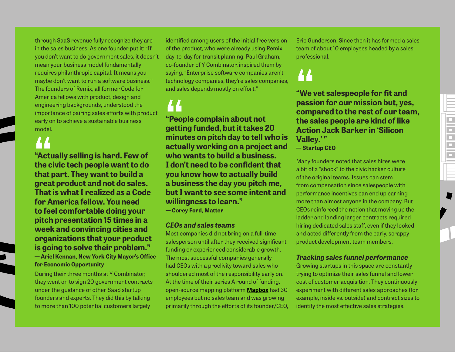$\Box$  $\Box$ 

through SaaS revenue fully recognize they are in the sales business. As one founder put it: "If you don't want to do government sales, it doesn't mean your business model fundamentally requires philanthropic capital. It means you maybe don't want to run a software business." The founders of Remix, all former Code for America fellows with product, design and engineering backgrounds, understood the importance of pairing sales efforts with product early on to achieve a sustainable business model.

**AA**<br>"Acturned"<br>that **"Actually selling is hard. Few of the civic tech people want to do that part. They want to build a great product and not do sales. That is what I realized as a Code for America fellow. You need to feel comfortable doing your pitch presentation 15 times in a week and convincing cities and organizations that your product is going to solve their problem." — Ariel Kennan, New York City Mayor's Office** 

## **for Economic Opportunity**

During their three months at Y Combinator, they went on to sign 20 government contracts under the guidance of other SaaS startup founders and experts. They did this by talking to more than 100 potential customers largely

identified among users of the initial free version of the product, who were already using Remix day-to-day for transit planning. Paul Graham, co-founder of Y Combinator, inspired them by saying, "Enterprise software companies aren't technology companies, they're sales companies, and sales depends mostly on effort."

**AA**<br>"Peo<br>getti<br>minu **"People complain about not getting funded, but it takes 20 minutes on pitch day to tell who is actually working on a project and who wants to build a business. I don't need to be confident that you know how to actually build a business the day you pitch me, but I want to see some intent and willingness to learn." — Corey Ford, Matter**

## *CEOs and sales teams*

Most companies did not bring on a full-time salesperson until after they received significant funding or experienced considerable growth. The most successful companies generally had CEOs with a proclivity toward sales who shouldered most of the responsibility early on. At the time of their series A round of funding, open-source mapping platform **[Mapbox](https://www.mapbox.com/)** had 30 employees but no sales team and was growing primarily through the efforts of its founder/CEO,

Eric Gunderson. Since then it has formed a sales team of about 10 employees headed by a sales professional.

**//**<br>"We<br>pass **"We vet salespeople for fit and passion for our mission but, yes, compared to the rest of our team, the sales people are kind of like Action Jack Barker in 'Silicon Valley.' " — Startup CEO**

Many founders noted that sales hires were a bit of a "shock" to the civic hacker culture of the original teams. Issues can stem from compensation since salespeople with performance incentives can end up earning more than almost anyone in the company. But CEOs reinforced the notion that moving up the ladder and landing larger contracts required hiring dedicated sales staff, even if they looked and acted differently from the early, scrappy product development team members.

# *Tracking sales funnel performance*

Growing startups in this space are constantly trying to optimize their sales funnel and lower cost of customer acquisition. They continuously experiment with different sales approaches (for example, inside vs. outside) and contract sizes to identify the most effective sales strategies.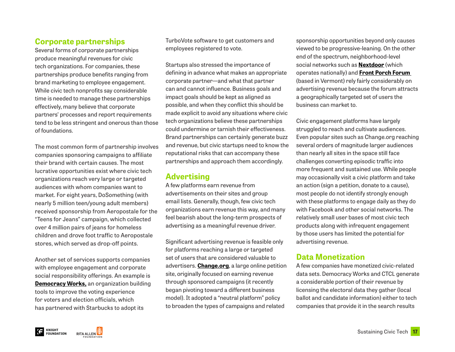# **Corporate partnerships**

Several forms of corporate partnerships produce meaningful revenues for civic tech organizations. For companies, these partnerships produce benefits ranging from brand marketing to employee engagement. While civic tech nonprofits say considerable time is needed to manage these partnerships effectively, many believe that corporate partners' processes and report requirements tend to be less stringent and onerous than those of foundations.

The most common form of partnership involves companies sponsoring campaigns to affiliate their brand with certain causes. The most lucrative opportunities exist where civic tech organizations reach very large or targeted audiences with whom companies want to market. For eight years, DoSomething (with nearly 5 million teen/young adult members) received sponsorship from Aeropostale for the "Teens for Jeans" campaign, which collected over 4 million pairs of jeans for homeless children and drove foot traffic to Aeropostale stores, which served as drop-off points.

Another set of services supports companies with employee engagement and corporate social responsibility offerings. An example is **[Democracy Works,](http://democracy.works/) an organization building** tools to improve the voting experience for voters and election officials, which has partnered with Starbucks to adopt its

TurboVote software to get customers and employees registered to vote.

Startups also stressed the importance of defining in advance what makes an appropriate corporate partner—and what that partner can and cannot influence. Business goals and impact goals should be kept as aligned as possible, and when they conflict this should be made explicit to avoid any situations where civic tech organizations believe these partnerships could undermine or tarnish their effectiveness. Brand partnerships can certainly generate buzz and revenue, but civic startups need to know the reputational risks that can accompany these partnerships and approach them accordingly.

# **Advertising**

A few platforms earn revenue from advertisements on their sites and group email lists. Generally, though, few civic tech organizations earn revenue this way, and many feel bearish about the long-term prospects of advertising as a meaningful revenue driver.

Significant advertising revenue is feasible only for platforms reaching a large or targeted set of users that are considered valuable to advertisers. **[Change.org](https://www.change.org/)**, a large online petition site, originally focused on earning revenue through sponsored campaigns (it recently began pivoting toward a different business model). It adopted a "neutral platform" policy to broaden the types of campaigns and related

sponsorship opportunities beyond only causes viewed to be progressive-leaning. On the other end of the spectrum, neighborhood-level social networks such as **[Nextdoor](https://nextdoor.com/)** (which operates nationally) and **[Front Porch Forum](http://frontporchforum.com/)**  (based in Vermont) rely fairly considerably on advertising revenue because the forum attracts a geographically targeted set of users the business can market to.

Civic engagement platforms have largely struggled to reach and cultivate audiences. Even popular sites such as Change.org reaching several orders of magnitude larger audiences than nearly all sites in the space still face challenges converting episodic traffic into more frequent and sustained use. While people may occasionally visit a civic platform and take an action (sign a petition, donate to a cause), most people do not identify strongly enough with these platforms to engage daily as they do with Facebook and other social networks. The relatively small user bases of most civic tech products along with infrequent engagement by those users has limited the potential for advertising revenue.

# **Data Monetization**

A few companies have monetized civic-related data sets. Democracy Works and CTCL generate a considerable portion of their revenue by licensing the electoral data they gather (local ballot and candidate information) either to tech companies that provide it in the search results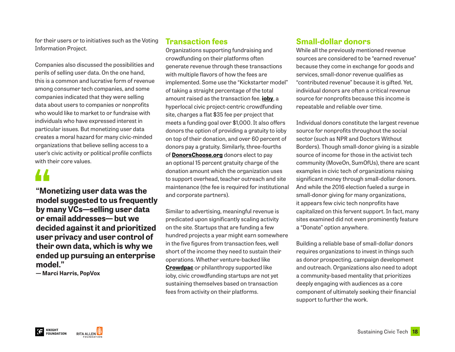for their users or to initiatives such as the Voting Information Project.

Companies also discussed the possibilities and perils of selling user data. On the one hand, this is a common and lucrative form of revenue among consumer tech companies, and some companies indicated that they were selling data about users to companies or nonprofits who would like to market to or fundraise with individuals who have expressed interest in particular issues. But monetizing user data creates a moral hazard for many civic-minded organizations that believe selling access to a user's civic activity or political profile conflicts with their core values.

# **"**

**"Monetizing user data was the model suggested to us frequently by many VCs—selling user data or email addresses— but we decided against it and prioritized user privacy and user control of their own data, which is why we ended up pursuing an enterprise model."**

**— Marci Harris, PopVox**

# **Transaction fees**

Organizations supporting fundraising and crowdfunding on their platforms often generate revenue through these transactions with multiple flavors of how the fees are implemented. Some use the "Kickstarter model" of taking a straight percentage of the total amount raised as the transaction fee. **[ioby](https://www.ioby.org/)**, a hyperlocal civic project-centric crowdfunding site, charges a flat \$35 fee per project that meets a funding goal over \$1,000. It also offers donors the option of providing a gratuity to ioby on top of their donation, and over 60 percent of donors pay a gratuity. Similarly, three-fourths of **[DonorsChoose.org](https://www.donorschoose.org/)** donors elect to pay an optional 15 percent gratuity charge of the donation amount which the organization uses to support overhead, teacher outreach and site maintenance (the fee is required for institutional and corporate partners).

Similar to advertising, meaningful revenue is predicated upon significantly scaling activity on the site. Startups that are funding a few hundred projects a year might earn somewhere in the five figures from transaction fees, well short of the income they need to sustain their operations. Whether venture-backed like **[Crowdpac](https://www.crowdpac.com/)** or philanthropy supported like ioby, civic crowdfunding startups are not yet sustaining themselves based on transaction fees from activity on their platforms.

# **Small-dollar donors**

While all the previously mentioned revenue sources are considered to be "earned revenue" because they come in exchange for goods and services, small-donor revenue qualifies as "contributed revenue" because it is gifted. Yet, individual donors are often a critical revenue source for nonprofits because this income is repeatable and reliable over time.

Individual donors constitute the largest revenue source for nonprofits throughout the social sector (such as NPR and Doctors Without Borders). Though small-donor giving is a sizable source of income for those in the activist tech community (MoveOn, SumOfUs), there are scant examples in civic tech of organizations raising significant money through small-dollar donors. And while the 2016 election fueled a surge in small-donor giving for many organizations, it appears few civic tech nonprofits have capitalized on this fervent support. In fact, many sites examined did not even prominently feature a "Donate" option anywhere.

Building a reliable base of small-dollar donors requires organizations to invest in things such as donor prospecting, campaign development and outreach. Organizations also need to adopt a community-based mentality that prioritizes deeply engaging with audiences as a core component of ultimately seeking their financial support to further the work.

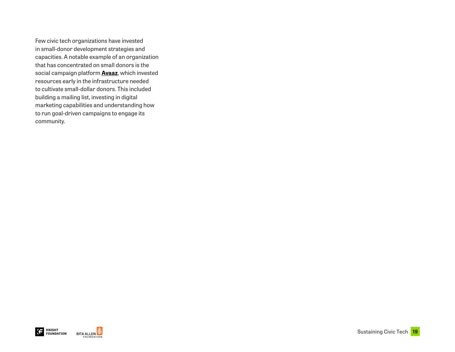Few civic tech organizations have invested in small-donor development strategies and capacities. A notable example of an organization that has concentrated on small donors is the social campaign platform **[Avaaz](https://secure.avaaz.org/page/en/)**, which invested resources early in the infrastructure needed to cultivate small-dollar donors. This included building a mailing list, investing in digital marketing capabilities and understanding how to run goal-driven campaigns to engage its community.



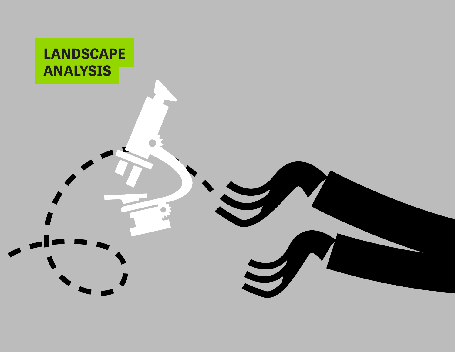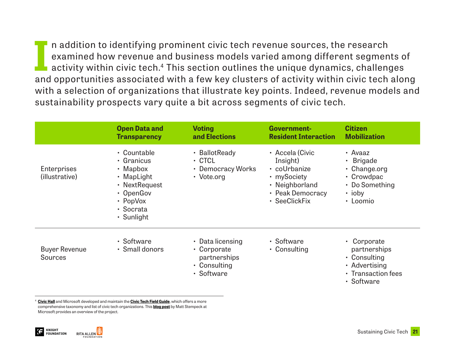**I** n addition to identifying prominent civic tech revenue sources, the research examined how revenue and business models varied among different segments of activity within civic tech.4 This section outlines the unique dynamics, challenges and opportunities associated with a few key clusters of activity within civic tech along with a selection of organizations that illustrate key points. Indeed, revenue models and sustainability prospects vary quite a bit across segments of civic tech.

|                                        | <b>Open Data and</b><br><b>Transparency</b>                                                                                          | <b>Voting</b><br>and Elections                                                | <b>Government-</b><br><b>Resident Interaction</b>                                                                 | <b>Citizen</b><br><b>Mobilization</b>                                                            |
|----------------------------------------|--------------------------------------------------------------------------------------------------------------------------------------|-------------------------------------------------------------------------------|-------------------------------------------------------------------------------------------------------------------|--------------------------------------------------------------------------------------------------|
| Enterprises<br>(illustrative)          | • Countable<br>• Granicus<br>$\cdot$ Mapbox<br>• MapLight<br>• NextRequest<br>• OpenGov<br>$\cdot$ PopVox<br>• Socrata<br>• Sunlight | • BallotReady<br>$\cdot$ CTCL<br>• Democracy Works<br>• Vote.org              | · Accela (Civic<br>Insight)<br>• coUrbanize<br>• mySociety<br>• Neighborland<br>• Peak Democracy<br>· SeeClickFix | • Avaaz<br>• Brigade<br>$\cdot$ Change.org<br>• Crowdpac<br>• Do Something<br>• ioby<br>• Loomio |
| <b>Buyer Revenue</b><br><b>Sources</b> | • Software<br>· Small donors                                                                                                         | • Data licensing<br>• Corporate<br>partnerships<br>• Consulting<br>• Software | • Software<br>• Consulting                                                                                        | • Corporate<br>partnerships<br>• Consulting<br>• Advertising<br>• Transaction fees<br>• Software |

<sup>4</sup> **[Civic Hall](https://civichall.org/)** and Microsoft developed and maintain the **[Civic Tech Field Guide](https://docs.google.com/spreadsheets/d/1FzmvVAKOOFdixCs7oz88cz9g1fFPHDlg0AHgHCwhf4A/edit#gid=963594345)**, which offers a more comprehensive taxonomy and list of civic tech organizations. This **[blog post](https://blogs.microsoft.com/on-the-issues/2016/04/27/towards-taxonomy-civic-technology/#sm.0000xndq1d50de9sqq61rb2jxaoo5)** by Matt Stempeck at Microsoft provides an overview of the project.

**FOUNDATION**

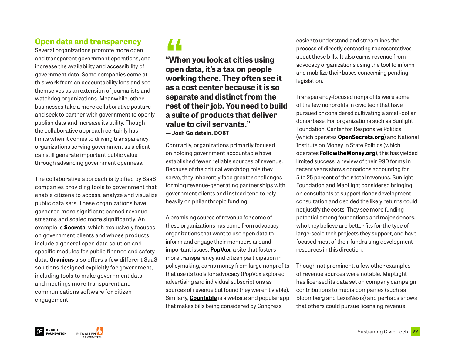# **Open data and transparency**

Several organizations promote more open and transparent government operations, and increase the availability and accessibility of government data. Some companies come at this work from an accountability lens and see themselves as an extension of journalists and watchdog organizations. Meanwhile, other businesses take a more collaborative posture and seek to partner with government to openly publish data and increase its utility. Though the collaborative approach certainly has limits when it comes to driving transparency, organizations serving government as a client can still generate important public value through advancing government openness.

The collaborative approach is typified by SaaS companies providing tools to government that enable citizens to access, analyze and visualize public data sets. These organizations have garnered more significant earned revenue streams and scaled more significantly. An example is **[Socrata](https://socrata.com/)**, which exclusively focuses on government clients and whose products include a general open data solution and specific modules for public finance and safety data. **[Granicus](https://granicus.com/)** also offers a few different SaaS solutions designed explicitly for government, including tools to make government data and meetings more transparent and communications software for citizen engagement

# **"**

**"When you look at cities using open data, it's a tax on people working there. They often see it as a cost center because it is so separate and distinct from the rest of their job. You need to build a suite of products that deliver value to civil servants." — Josh Goldstein, DOBT**

Contrarily, organizations primarily focused on holding government accountable have established fewer reliable sources of revenue. Because of the critical watchdog role they serve, they inherently face greater challenges forming revenue-generating partnerships with government clients and instead tend to rely heavily on philanthropic funding.

A promising source of revenue for some of these organizations has come from advocacy organizations that want to use open data to inform and engage their members around important issues. **[PopVox](https://www.popvox.com/)**, a site that fosters more transparency and citizen participation in policymaking, earns money from large nonprofits that use its tools for advocacy (PopVox explored advertising and individual subscriptions as sources of revenue but found they weren't viable). Similarly, **[Countable](https://www.countable.us/)** is a website and popular app that makes bills being considered by Congress

easier to understand and streamlines the process of directly contacting representatives about these bills. It also earns revenue from advocacy organizations using the tool to inform and mobilize their bases concerning pending legislation.

Transparency-focused nonprofits were some of the few nonprofits in civic tech that have pursued or considered cultivating a small-dollar donor base. For organizations such as Sunlight Foundation, Center for Responsive Politics (which operates **[OpenSecrets.org](http://www.opensecrets.org/)**) and National Institute on Money in State Politics (which operates **[FollowtheMoney.org](https://www.followthemoney.org/)**), this has yielded limited success; a review of their 990 forms in recent years shows donations accounting for 5 to 25 percent of their total revenues. Sunlight Foundation and MapLight considered bringing on consultants to support donor development consultation and decided the likely returns could not justify the costs. They see more funding potential among foundations and major donors, who they believe are better fits for the type of large-scale tech projects they support, and have focused most of their fundraising development resources in this direction.

Though not prominent, a few other examples of revenue sources were notable. MapLight has licensed its data set on company campaign contributions to media companies (such as Bloomberg and LexisNexis) and perhaps shows that others could pursue licensing revenue

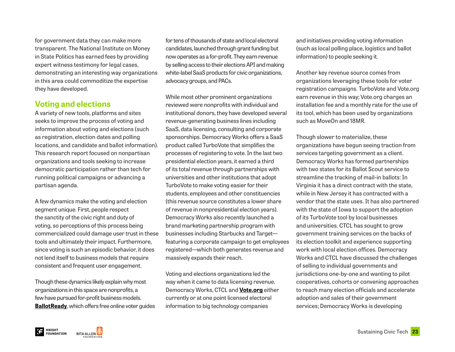for government data they can make more transparent. The National Institute on Money in State Politics has earned fees by providing expert witness testimony for legal cases, demonstrating an interesting way organizations in this area could commoditize the expertise they have developed.

# **Voting and elections**

A variety of new tools, platforms and sites seeks to improve the process of voting and information about voting and elections (such as registration, election dates and polling locations, and candidate and ballot information). This research report focused on nonpartisan organizations and tools seeking to increase democratic participation rather than tech for running political campaigns or advancing a partisan agenda.

A few dynamics make the voting and election segment unique. First, people respect the sanctity of the civic right and duty of voting, so perceptions of this process being commercialized could damage user trust in these tools and ultimately their impact. Furthermore, since voting is such an episodic behavior, it does not lend itself to business models that require consistent and frequent user engagement.

Though these dynamics likely explain why most organizations in this space are nonprofits, a few have pursued for-profit business models. **[BallotReady](https://www.ballotready.org/)**, which offers free online voter guides

for tens of thousands of state and local electoral candidates, launched through grant funding but now operates as a for-profit. They earn revenue by selling access to their elections API and making white-label SaaS products for civic organizations, advocacy groups, and PACs.

While most other prominent organizations reviewed were nonprofits with individual and institutional donors, they have developed several revenue-generating business lines including SaaS, data licensing, consulting and corporate sponsorships. Democracy Works offers a SaaS product called TurboVote that simplifies the processes of registering to vote. In the last two presidential election years, it earned a third of its total revenue through partnerships with universities and other institutions that adopt TurboVote to make voting easier for their students, employees and other constituencies (this revenue source constitutes a lower share of revenue in nonpresidential election years). Democracy Works also recently launched a brand marketing partnership program with businesses including Starbucks and Target featuring a corporate campaign to get employees registered—which both generates revenue and massively expands their reach.

Voting and elections organizations led the way when it came to data licensing revenue. Democracy Works, CTCL and **[Vote.org](https://www.vote.org/)** either currently or at one point licensed electoral information to big technology companies

and initiatives providing voting information (such as local polling place, logistics and ballot information) to people seeking it.

Another key revenue source comes from organizations leveraging these tools for voter registration campaigns. TurboVote and Vote.org earn revenue in this way; Vote.org charges an installation fee and a monthly rate for the use of its tool, which has been used by organizations such as MoveOn and 18MR.

Though slower to materialize, these organizations have begun seeing traction from services targeting government as a client. Democracy Works has formed partnerships with two states for its Ballot Scout service to streamline the tracking of mail-in ballots: In Virginia it has a direct contract with the state, while in New Jersey it has contracted with a vendor that the state uses. It has also partnered with the state of Iowa to support the adoption of its TurboVote tool by local businesses and universities. CTCL has sought to grow government training services on the backs of its election toolkit and experience supporting work with local election offices. Democracy Works and CTCL have discussed the challenges of selling to individual governments and jurisdictions one-by-one and wanting to pilot cooperatives, cohorts or convening approaches to reach many election officials and accelerate adoption and sales of their government services; Democracy Works is developing

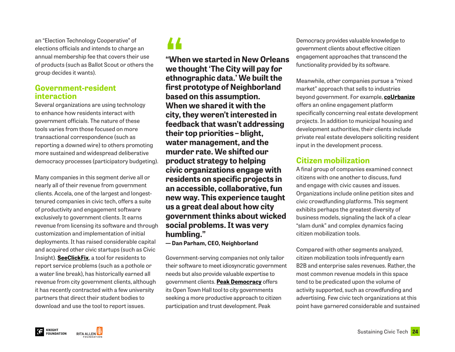an "Election Technology Cooperative" of elections officials and intends to charge an annual membership fee that covers their use of products (such as Ballot Scout or others the group decides it wants).

# **Government-resident interaction**

Several organizations are using technology to enhance how residents interact with government officials. The nature of these tools varies from those focused on more transactional correspondence (such as reporting a downed wire) to others promoting more sustained and widespread deliberative democracy processes (participatory budgeting).

Many companies in this segment derive all or nearly all of their revenue from government clients. Accela, one of the largest and longesttenured companies in civic tech, offers a suite of productivity and engagement software exclusively to government clients. It earns revenue from licensing its software and through customization and implementation of initial deployments. It has raised considerable capital and acquired other civic startups (such as Civic Insight). **[SeeClickFix](https://en.seeclickfix.com/)**, a tool for residents to report service problems (such as a pothole or a water line break), has historically earned all revenue from city government clients, although it has recently contracted with a few university partners that direct their student bodies to download and use the tool to report issues.

# **"**

**"When we started in New Orleans we thought 'The City will pay for ethnographic data.' We built the first prototype of Neighborland based on this assumption. When we shared it with the city, they weren't interested in feedback that wasn't addressing their top priorities – blight, water management, and the murder rate. We shifted our product strategy to helping civic organizations engage with residents on specific projects in an accessible, collaborative, fun new way. This experience taught us a great deal about how city government thinks about wicked social problems. It was very humbling."**

**— Dan Parham, CEO, Neighborland**

Government-serving companies not only tailor their software to meet idiosyncratic government needs but also provide valuable expertise to government clients. **[Peak Democracy](http://www.peakdemocracy.co/)** offers its Open Town Hall tool to city governments seeking a more productive approach to citizen participation and trust development. Peak

Democracy provides valuable knowledge to government clients about effective citizen engagement approaches that transcend the functionality provided by its software.

Meanwhile, other companies pursue a "mixed market" approach that sells to industries beyond government. For example, **[coUrbanize](https://courbanize.com/)** offers an online engagement platform specifically concerning real estate development projects. In addition to municipal housing and development authorities, their clients include private real estate developers soliciting resident input in the development process.

# **Citizen mobilization**

A final group of companies examined connect citizens with one another to discuss, fund and engage with civic causes and issues. Organizations include online petition sites and civic crowdfunding platforms. This segment exhibits perhaps the greatest diversity of business models, signaling the lack of a clear "slam dunk" and complex dynamics facing citizen mobilization tools.

Compared with other segments analyzed, citizen mobilization tools infrequently earn B2B and enterprise sales revenues. Rather, the most common revenue models in this space tend to be predicated upon the volume of activity supported, such as crowdfunding and advertising. Few civic tech organizations at this point have garnered considerable and sustained

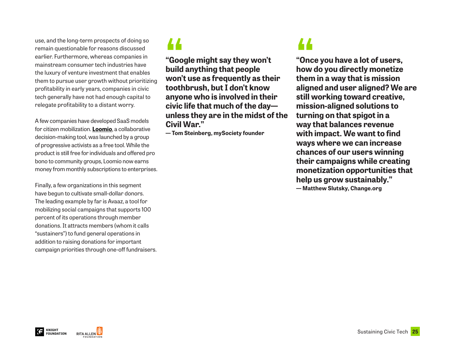use, and the long-term prospects of doing so remain questionable for reasons discussed earlier. Furthermore, whereas companies in mainstream consumer tech industries have the luxury of venture investment that enables them to pursue user growth without prioritizing profitability in early years, companies in civic tech generally have not had enough capital to relegate profitability to a distant worry.

A few companies have developed SaaS models for citizen mobilization. **[Loomio](https://www.loomio.org/)**, a collaborative decision-making tool, was launched by a group of progressive activists as a free tool. While the product is still free for individuals and offered pro bono to community groups, Loomio now earns money from monthly subscriptions to enterprises.

Finally, a few organizations in this segment have begun to cultivate small-dollar donors. The leading example by far is Avaaz, a tool for mobilizing social campaigns that supports 100 percent of its operations through member donations. It attracts members (whom it calls "sustainers") to fund general operations in addition to raising donations for important campaign priorities through one-off fundraisers.

**"Google might say they won't do**<br> **hereof that if they**<br> **build anything that people won't use as frequently as their toothbrush, but I don't know anyone who is involved in their civic life that much of the day unless they are in the midst of the Civil War."** 

**— Tom Steinberg, mySociety founder**

# **"**

**"Once you have a lot of users, how do you directly monetize them in a way that is mission aligned and user aligned? We are still working toward creative, mission-aligned solutions to turning on that spigot in a way that balances revenue with impact. We want to find ways where we can increase chances of our users winning their campaigns while creating monetization opportunities that help us grow sustainably." — Matthew Slutsky, Change.org**

**FOUNDATION**

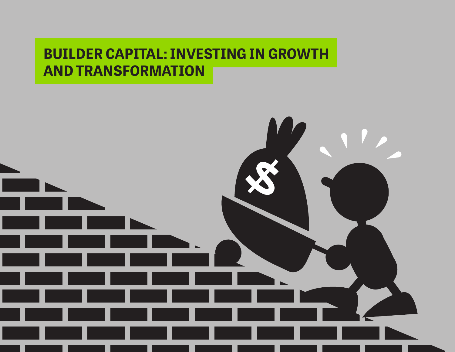# **BUILDER CAPITAL: INVESTING IN GROWTH AND TRANSFORMATION**

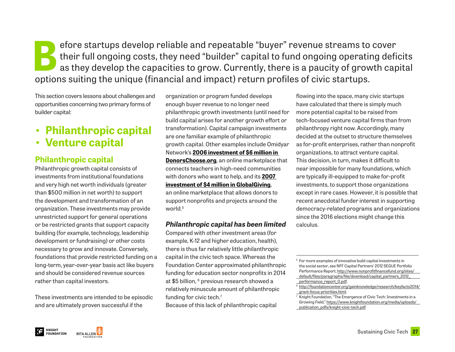# External original to fund and repeatable "buyer" revenue streams to cover<br>their full ongoing costs, they need "builder" capital to fund ongoing operating defi<br>as they develop the capacities to grow. Currently, there is a p their full ongoing costs, they need "builder" capital to fund ongoing operating deficits as they develop the capacities to grow. Currently, there is a paucity of growth capital options suiting the unique (financial and impact) return profiles of civic startups.

This section covers lessons about challenges and opportunities concerning two primary forms of builder capital:

# **• Philanthropic capital • Venture capital**

# **Philanthropic capital**

Philanthropic growth capital consists of investments from institutional foundations and very high net worth individuals (greater than \$500 million in net worth) to support the development and transformation of an organization. These investments may provide unrestricted support for general operations or be restricted grants that support capacity building (for example, technology, leadership development or fundraising) or other costs necessary to grow and innovate. Conversely, foundations that provide restricted funding on a long-term, year-over-year basis act like buyers and should be considered revenue sources rather than capital investors.

These investments are intended to be episodic and are ultimately proven successful if the

organization or program funded develops enough buyer revenue to no longer need philanthropic growth investments (until need for build capital arises for another growth effort or transformation). Capital campaign investments are one familiar example of philanthropic growth capital. Other examples include Omidyar Network's **[2006 investment of \\$6 million in](https://www.omidyar.com/investees/donorschooseorg)  [DonorsChoose.org](https://www.omidyar.com/investees/donorschooseorg)**, an online marketplace that connects teachers in high-need communities with donors who want to help, and its **[2007](https://www.omidyar.com/investees/globalgiving)  [investment of \\$4 million in GlobalGiving](https://www.omidyar.com/investees/globalgiving)**, an online marketplace that allows donors to

support nonprofits and projects around the world.<sup>5</sup>

# *Philanthropic capital has been limited*

Compared with other investment areas (for example, K-12 and higher education, health), there is thus far relatively little philanthropic capital in the civic tech space. Whereas the Foundation Center approximated philanthropic funding for education sector nonprofits in 2014 at \$5 billion, <sup>6</sup> previous research showed a relatively minuscule amount of philanthropic funding for civic tech.<sup>7</sup>

Because of this lack of philanthropic capital

flowing into the space, many civic startups have calculated that there is simply much more potential capital to be raised from tech-focused venture capital firms than from philanthropy right now. Accordingly, many decided at the outset to structure themselves as for-profit enterprises, rather than nonprofit organizations, to attract venture capital. This decision, in turn, makes it difficult to near impossible for many foundations, which are typically ill-equipped to make for-profit investments, to support those organizations except in rare cases. However, it is possible that recent anecdotal funder interest in supporting democracy-related programs and organizations since the 2016 elections might change this calculus.

<sup>5</sup> For more examples of innovative build capital investments in the social sector, see NFF Capital Partners' 2012 SEGUE Portfolio Performance Report, [http://www.nonprofitfinancefund.org/sites/](http://www.nonprofitfinancefund.org/sites/  default/files/paragraphs/file/download/capital_partners_) [default/files/paragraphs/file/download/capital\\_partners\\_2012\\_](http://www.nonprofitfinancefund.org/sites/  default/files/paragraphs/file/download/capital_partners_) [performance\\_report\\_0.pdf](http://www.nonprofitfinancefund.org/sites/  default/files/paragraphs/file/download/capital_partners_).



<sup>6</sup> [http://foundationcenter.org/gainknowledge/research/keyfacts2014/](http://foundationcenter.org/gainknowledge/research/keyfacts2014/  grant-focus-priorities.html) [grant-focus-priorities.html.](http://foundationcenter.org/gainknowledge/research/keyfacts2014/  grant-focus-priorities.html)

<sup>&</sup>lt;sup>7</sup> Knight Foundation, "The Emergence of Civic Tech: Investments in a Growing Field," [https://www.knightfoundation.org/media/uploads/](https://www.knightfoundation.org/media/uploads/  publication_pdfs/knight-civic-tech.pdf) [publication\\_pdfs/knight-civic-tech.pdf](https://www.knightfoundation.org/media/uploads/  publication_pdfs/knight-civic-tech.pdf).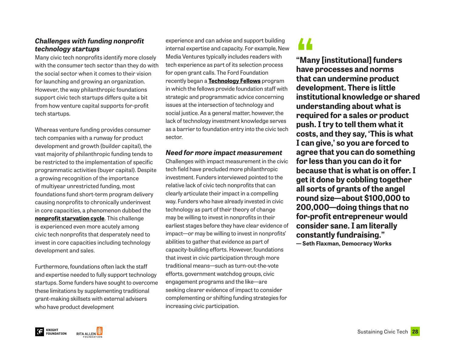# *Challenges with funding nonprofit technology startups*

Many civic tech nonprofits identify more closely with the consumer tech sector than they do with the social sector when it comes to their vision for launching and growing an organization. However, the way philanthropic foundations support civic tech startups differs quite a bit from how venture capital supports for-profit tech startups.

Whereas venture funding provides consumer tech companies with a runway for product development and growth (builder capital), the vast majority of philanthropic funding tends to be restricted to the implementation of specific programmatic activities (buyer capital). Despite a growing recognition of the importance of multiyear unrestricted funding, most foundations fund short-term program delivery causing nonprofits to chronically underinvest in core capacities, a phenomenon dubbed the **[nonprofit starvation cycle](https://www.bridgespan.org/insights/initiatives/pay-what-it-takes-philanthropy/the-nonprofit-starvation-cycle)**. This challenge is experienced even more acutely among civic tech nonprofits that desperately need to invest in core capacities including technology development and sales.

Furthermore, foundations often lack the staff and expertise needed to fully support technology startups. Some funders have sought to overcome these limitations by supplementing traditional grant-making skillsets with external advisers who have product development

experience and can advise and support building internal expertise and capacity. For example, New Media Ventures typically includes readers with tech experience as part of its selection process for open grant calls. The Ford Foundation recently began a **[Technology Fellows](https://www.fordfoundation.org/ideas/equals-change-blog/posts/why-the-ford-foundation-wants-technologists-to-join-the-fight-for-social-justice/)** program in which the fellows provide foundation staff with strategic and programmatic advice concerning issues at the intersection of technology and social justice. As a general matter, however, the lack of technology investment knowledge serves as a barrier to foundation entry into the civic tech sector.

## *Need for more impact measurement*

Challenges with impact measurement in the civic tech field have precluded more philanthropic investment. Funders interviewed pointed to the relative lack of civic tech nonprofits that can clearly articulate their impact in a compelling way. Funders who have already invested in civic technology as part of their theory of change may be willing to invest in nonprofits in their earliest stages before they have clear evidence of impact—or may be willing to invest in nonprofits' abilities to gather that evidence as part of capacity-building efforts. However, foundations that invest in civic participation through more traditional means—such as turn-out-the-vote efforts, government watchdog groups, civic engagement programs and the like—are seeking clearer evidence of impact to consider complementing or shifting funding strategies for increasing civic participation.

# **"**

**"Many [institutional] funders have processes and norms that can undermine product development. There is little institutional knowledge or shared understanding about what is required for a sales or product push. I try to tell them what it costs, and they say, 'This is what I can give,' so you are forced to agree that you can do something for less than you can do it for because that is what is on offer. I get it done by cobbling together all sorts of grants of the angel round size—about \$100,000 to 200,000—doing things that no for-profit entrepreneur would consider sane. I am literally constantly fundraising." — Seth Flaxman, Democracy Works**

**FOUNDATION**

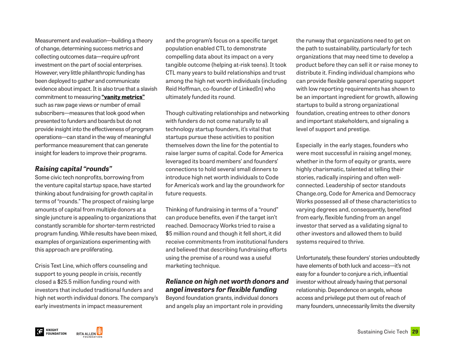Measurement and evaluation—building a theory of change, determining success metrics and collecting outcomes data—require upfront investment on the part of social enterprises. However, very little philanthropic funding has been deployed to gather and communicate evidence about impact. It is also true that a slavish commitment to measuring **["vanity metrics"](https://ssir.org/articles/entry/moving_beyond_vanity_metrics)** such as raw page views or number of email subscribers—measures that look good when presented to funders and boards but do not provide insight into the effectiveness of program operations—can stand in the way of meaningful performance measurement that can generate insight for leaders to improve their programs.

# *Raising capital "rounds"*

Some civic tech nonprofits, borrowing from the venture capital startup space, have started thinking about fundraising for growth capital in terms of "rounds." The prospect of raising large amounts of capital from multiple donors at a single juncture is appealing to organizations that constantly scramble for shorter-term restricted program funding. While results have been mixed, examples of organizations experimenting with this approach are proliferating.

Crisis Text Line, which offers counseling and support to young people in crisis, recently closed a \$25.5 million funding round with investors that included traditional funders and high net worth individual donors. The company's early investments in impact measurement

and the program's focus on a specific target population enabled CTL to demonstrate compelling data about its impact on a very tangible outcome (helping at-risk teens). It took CTL many years to build relationships and trust among the high net worth individuals (including Reid Hoffman, co-founder of LinkedIn) who ultimately funded its round.

Though cultivating relationships and networking with funders do not come naturally to all technology startup founders, it's vital that startups pursue these activities to position themselves down the line for the potential to raise larger sums of capital. Code for America leveraged its board members' and founders' connections to hold several small dinners to introduce high net worth individuals to Code for America's work and lay the groundwork for future requests.

Thinking of fundraising in terms of a "round" can produce benefits, even if the target isn't reached. Democracy Works tried to raise a \$5 million round and though it fell short, it did receive commitments from institutional funders and believed that describing fundraising efforts using the premise of a round was a useful marketing technique.

# *Reliance on high net worth donors and angel investors for flexible funding*

Beyond foundation grants, individual donors and angels play an important role in providing

the runway that organizations need to get on the path to sustainability, particularly for tech organizations that may need time to develop a product before they can sell it or raise money to distribute it. Finding individual champions who can provide flexible general operating support with low reporting requirements has shown to be an important ingredient for growth, allowing startups to build a strong organizational foundation, creating entrees to other donors and important stakeholders, and signaling a level of support and prestige.

Especially in the early stages, founders who were most successful in raising angel money, whether in the form of equity or grants, were highly charismatic, talented at telling their stories, radically inspiring and often wellconnected. Leadership of sector standouts Change.org, Code for America and Democracy Works possessed all of these characteristics to varying degrees and, consequently, benefited from early, flexible funding from an angel investor that served as a validating signal to other investors and allowed them to build systems required to thrive.

Unfortunately, these founders' stories undoubtedly have elements of both luck and access—it's not easy for a founder to conjure a rich, influential investor without already having that personal relationship. Dependence on angels, whose access and privilege put them out of reach of many founders, unnecessarily limits the diversity

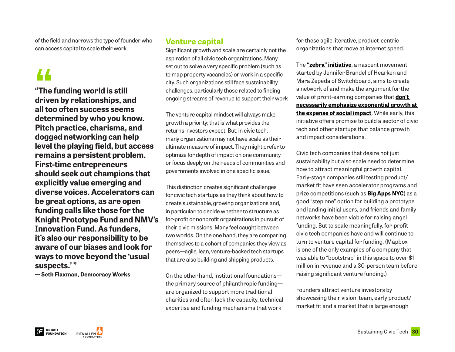of the field and narrows the type of founder who can access capital to scale their work.

# **"**

**"The funding world is still driven by relationships, and all too often success seems determined by who you know. Pitch practice, charisma, and dogged networking can help level the playing field, but access remains a persistent problem. First-time entrepreneurs should seek out champions that explicitly value emerging and diverse voices. Accelerators can be great options, as are open funding calls like those for the Knight Prototype Fund and NMV's Innovation Fund. As funders, it's also our responsibility to be aware of our biases and look for ways to move beyond the 'usual suspects.' "**

**— Seth Flaxman, Democracy Works**

# **Venture capital**

Significant growth and scale are certainly not the aspiration of all civic tech organizations. Many set out to solve a very specific problem (such as to map property vacancies) or work in a specific city. Such organizations still face sustainability challenges, particularly those related to finding ongoing streams of revenue to support their work

The venture capital mindset will always make growth a priority; that is what provides the returns investors expect. But, in civic tech, many organizations may not have scale as their ultimate measure of impact. They might prefer to optimize for depth of impact on one community or focus deeply on the needs of communities and governments involved in one specific issue.

This distinction creates significant challenges for civic tech startups as they think about how to create sustainable, growing organizations and, in particular, to decide whether to structure as for-profit or nonprofit organizations in pursuit of their civic missions. Many feel caught between two worlds. On the one hand, they are comparing themselves to a cohort of companies they view as peers—agile, lean, venture-backed tech startups that are also building and shipping products.

On the other hand, institutional foundations the primary source of philanthropic funding are organized to support more traditional charities and often lack the capacity, technical expertise and funding mechanisms that work

for these agile, iterative, product-centric organizations that move at internet speed.

The **["zebra" initiative](https://www.zebrasunite.com/)**, a nascent movement started by Jennifer Brandel of Hearken and Mara Zepeda of Switchboard, aims to create a network of and make the argument for the value of profit-earning companies that **[don't](https://medium.com/@sexandstartups/zebrasfix-c467e55f9d96)  [necessarily emphasize exponential growth at](https://medium.com/@sexandstartups/zebrasfix-c467e55f9d96)  [the expense of social impact](https://medium.com/@sexandstartups/zebrasfix-c467e55f9d96)**. While early, this initiative offers promise to build a sector of civic tech and other startups that balance growth and impact considerations.

Civic tech companies that desire not just sustainability but also scale need to determine how to attract meaningful growth capital. Early-stage companies still testing product/ market fit have seen accelerator programs and prize competitions (such as **[Big Apps NYC](http://www.bigapps.nyc/)**) as a good "step one" option for building a prototype and landing initial users, and friends and family networks have been viable for raising angel funding. But to scale meaningfully, for-profit civic tech companies have and will continue to turn to venture capital for funding. (Mapbox is one of the only examples of a company that was able to "bootstrap" in this space to over \$1 million in revenue and a 30-person team before raising significant venture funding.)

Founders attract venture investors by showcasing their vision, team, early product/ market fit and a market that is large enough

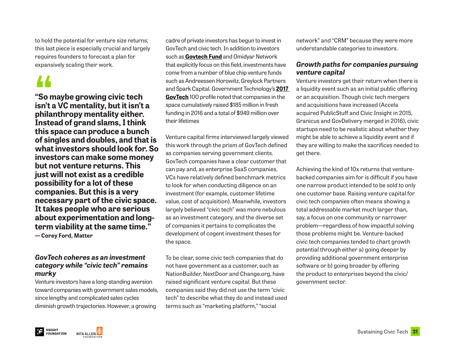to hold the potential for venture size returns; this last piece is especially crucial and largely requires founders to forecast a plan for expansively scaling their work.

**"So maybe growing civic tech isn't a VC mentality, but it isn't a 44**<br>"So n<br>isn't **philanthropy mentality either. Instead of grand slams, I think this space can produce a bunch of singles and doubles, and that is what investors should look for. So investors can make some money but not venture returns. This just will not exist as a credible possibility for a lot of these companies. But this is a very necessary part of the civic space. It takes people who are serious about experimentation and longterm viability at the same time." — Corey Ford, Matter**

# *GovTech coheres as an investment category while "civic tech" remains murky*

Venture investors have a long-standing aversion toward companies with government sales models, since lengthy and complicated sales cycles diminish growth trajectories. However, a growing

cadre of private investors has begun to invest in GovTech and civic tech. In addition to investors such as **[Govtech Fund](http://govtechfund.com/)** and Omidyar Network that explicitly focus on this field, investments have come from a number of blue chip venture funds such as Andreessen Horowitz, Greylock Partners and Spark Capital. Government Technology's **[2017](http://www.govtech.com/100/)  [GovTech](http://www.govtech.com/100/)** 100 profile noted that companies in the space cumulatively raised \$185 million in fresh funding in 2016 and a total of \$949 million over their lifetimes

Venture capital firms interviewed largely viewed this work through the prism of GovTech defined as companies serving government clients. GovTech companies have a clear customer that can pay and, as enterprise SaaS companies, VCs have relatively defined benchmark metrics to look for when conducting diligence on an investment (for example, customer lifetime value, cost of acquisition). Meanwhile, investors largely believed "civic tech" was more nebulous as an investment category, and the diverse set of companies it pertains to complicates the development of cogent investment theses for the space.

To be clear, some civic tech companies that do not have government as a customer, such as NationBuilder, NextDoor and Change.org, have raised significant venture capital. But these companies said they did not use the term "civic tech" to describe what they do and instead used terms such as "marketing platform," "social

network" and "CRM" because they were more understandable categories to investors.

# *Growth paths for companies pursuing venture capital*

Venture investors get their return when there is a liquidity event such as an initial public offering or an acquisition. Though civic tech mergers and acquisitions have increased (Accela acquired PublicStuff and Civic Insight in 2015, Granicus and GovDelivery merged in 2016), civic startups need to be realistic about whether they might be able to achieve a liquidity event and if they are willing to make the sacrifices needed to get there.

Achieving the kind of 10x returns that venturebacked companies aim for is difficult if you have one narrow product intended to be sold to only one customer base. Raising venture capital for civic tech companies often means showing a total addressable market much larger than, say, a focus on one community or narrower problem—regardless of how impactful solving those problems might be. Venture-backed civic tech companies tended to chart growth potential through either a) going deeper by providing additional government enterprise software or b) going broader by offering the product to enterprises beyond the civic/ government sector.

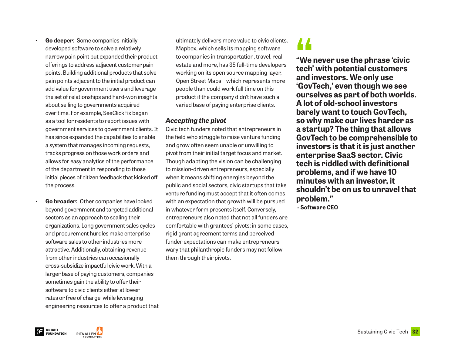- **Go deeper:** Some companies initially developed software to solve a relatively narrow pain point but expanded their product offerings to address adjacent customer pain points. Building additional products that solve pain points adjacent to the initial product can add value for government users and leverage the set of relationships and hard-won insights about selling to governments acquired over time. For example, SeeClickFix began as a tool for residents to report issues with government services to government clients. It has since expanded the capabilities to enable a system that manages incoming requests, tracks progress on those work orders and allows for easy analytics of the performance of the department in responding to those initial pieces of citizen feedback that kicked off the process.
- **Go broader:** Other companies have looked beyond government and targeted additional sectors as an approach to scaling their organizations. Long government sales cycles and procurement hurdles make enterprise software sales to other industries more attractive. Additionally, obtaining revenue from other industries can occasionally cross-subsidize impactful civic work. With a larger base of paying customers, companies sometimes gain the ability to offer their software to civic clients either at lower rates or free of charge while leveraging engineering resources to offer a product that

ultimately delivers more value to civic clients. Mapbox, which sells its mapping software to companies in transportation, travel, real estate and more, has 35 full-time developers working on its open source mapping layer, Open Street Maps—which represents more people than could work full time on this product if the company didn't have such a varied base of paying enterprise clients.

### *Accepting the pivot*

Civic tech funders noted that entrepreneurs in the field who struggle to raise venture funding and grow often seem unable or unwilling to pivot from their initial target focus and market. Though adapting the vision can be challenging to mission-driven entrepreneurs, especially when it means shifting energies beyond the public and social sectors, civic startups that take venture funding must accept that it often comes with an expectation that growth will be pursued in whatever form presents itself. Conversely, entrepreneurs also noted that not all funders are comfortable with grantees' pivots; in some cases, rigid grant agreement terms and perceived funder expectations can make entrepreneurs wary that philanthropic funders may not follow them through their pivots.

# **"**

**"We never use the phrase 'civic tech' with potential customers and investors. We only use 'GovTech,' even though we see ourselves as part of both worlds. A lot of old-school investors barely want to touch GovTech, so why make our lives harder as a startup? The thing that allows GovTech to be comprehensible to investors is that it is just another enterprise SaaS sector. Civic tech is riddled with definitional problems, and if we have 10 minutes with an investor, it shouldn't be on us to unravel that problem."** 

 **- Software CEO**

**FOUNDATION**

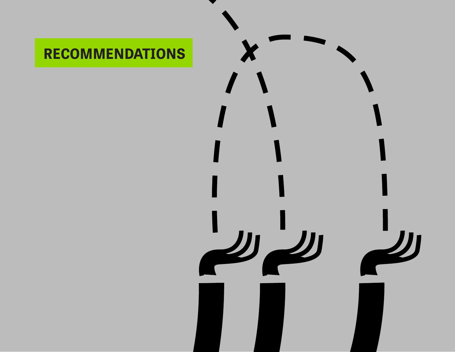# **RECOMMENDATIONS**







Sustaining Civic Tech **33 KNIGHT**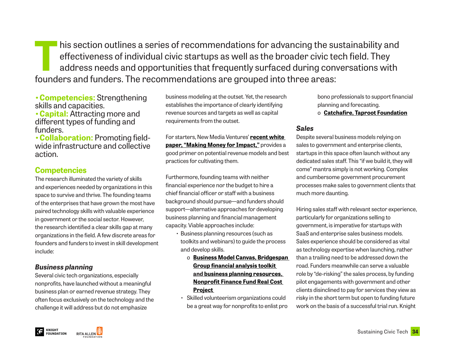This section outlines a series of recommendations for advancing the sustainability and<br>effectiveness of individual civic startups as well as the broader civic tech field. They<br>address needs and opportunities that frequentl effectiveness of individual civic startups as well as the broader civic tech field. They address needs and opportunities that frequently surfaced during conversations with founders and funders. The recommendations are grouped into three areas:

**•Competencies:** Strengthening skills and capacities.

**•Capital:** Attracting more and different types of funding and funders.

**•Collaboration:** Promoting fieldwide infrastructure and collective action.

# **Competencies**

The research illuminated the variety of skills and experiences needed by organizations in this space to survive and thrive. The founding teams of the enterprises that have grown the most have paired technology skills with valuable experience in government or the social sector. However, the research identified a clear skills gap at many organizations in the field. A few discrete areas for founders and funders to invest in skill development include:

# *Business planning*

Several civic tech organizations, especially nonprofits, have launched without a meaningful business plan or earned revenue strategy. They often focus exclusively on the technology and the challenge it will address but do not emphasize

business modeling at the outset. Yet, the research establishes the importance of clearly identifying revenue sources and targets as well as capital requirements from the outset.

For starters, New Media Ventures' **[recent white](http://www.newmediaventures.org/making-money-impact/)  [paper, "Making Money for Impact,"](http://www.newmediaventures.org/making-money-impact/)** provides a good primer on potential revenue models and best practices for cultivating them.

Furthermore, founding teams with neither financial experience nor the budget to hire a chief financial officer or staff with a business background should pursue—and funders should support—alternative approaches for developing business planning and financial management capacity. Viable approaches include:

• Business planning resources (such as toolkits and webinars) to guide the process and develop skills.

- o **[Business Model Canvas,](https://strategyzer.com/canvas/business-model-canvas) [Bridgespan](https://www.bridgespan.org/insights/library/pay-what-it-takes/nonprofit-cost-analysis-introduction)  [Group financial analysis toolkit](https://www.bridgespan.org/insights/library/pay-what-it-takes/nonprofit-cost-analysis-introduction)  and [business planning resources,](https://www.bridgespan.org/insights/library/strategy-development/nonprofit-business-planning-resources) [Nonprofit Finance Fund Real Cost](http://fullcostproject.org)  [Project](http://fullcostproject.org)**
- Skilled volunteerism organizations could be a great way for nonprofits to enlist pro

 bono professionals to support financial planning and forecasting. o **[Catchafire](http://www.Catchafire.org), [Taproot Foundation](https://www.taprootfoundation.org)**

# *Sales*

Despite several business models relying on sales to government and enterprise clients, startups in this space often launch without any dedicated sales staff. This "if we build it, they will come" mantra simply is not working. Complex and cumbersome government procurement processes make sales to government clients that much more daunting.

Hiring sales staff with relevant sector experience, particularly for organizations selling to government, is imperative for startups with SaaS and enterprise sales business models. Sales experience should be considered as vital as technology expertise when launching, rather than a trailing need to be addressed down the road. Funders meanwhile can serve a valuable role by "de-risking" the sales process, by funding pilot engagements with government and other clients disinclined to pay for services they view as risky in the short term but open to funding future work on the basis of a successful trial run. Knight

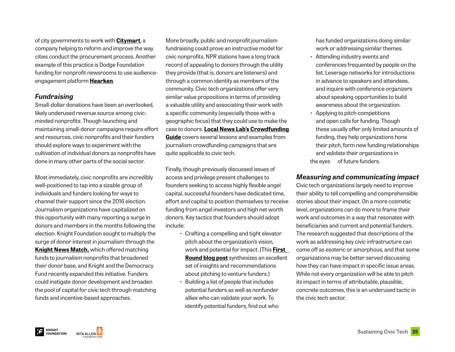of city governments to work with **[Citymart](http://www.citymart.com/)**, a company helping to reform and improve the way cities conduct the procurement process. Another example of this practice is Dodge Foundation funding for nonprofit newsrooms to use audienceengagement platform **[Hearken](https://www.wearehearken.com/)**.

# *Fundraising*

Small-dollar donations have been an overlooked, likely underused revenue source among civicminded nonprofits. Though launching and maintaining small-donor campaigns require effort and resources, civic nonprofits and their funders should explore ways to experiment with the cultivation of individual donors as nonprofits have done in many other parts of the social sector.

Most immediately, civic nonprofits are incredibly well-positioned to tap into a sizable group of individuals and funders looking for ways to channel their support since the 2016 election. Journalism organizations have capitalized on this opportunity with many reporting a surge in donors and members in the months following the election. Knight Foundation sought to multiply the surge of donor interest in journalism through the **[Knight News Match,](https://knightfoundation.org/newsmatch)** which offered matching funds to journalism nonprofits that broadened their donor base, and Knight and the Democracy Fund recently expanded this initiative. Funders could instigate donor development and broaden the pool of capital for civic tech through matching funds and incentive-based approaches.

More broadly, public and nonprofit journalism fundraising could prove an instructive model for civic nonprofits. NPR stations have a long track record of appealing to donors through the utility they provide (that is, donors are listeners) and through a common identity as members of the community. Civic tech organizations offer very similar value propositions in terms of providing a valuable utility and associating their work with a specific community (especially those with a geographic focus) that they could use to make the case to donors. **[Local News Lab's Crowdfunding](http://localnewslab.org/guide/crowdfunding/)  [Guide](http://localnewslab.org/guide/crowdfunding/)** covers several lessons and examples from journalism crowdfunding campaigns that are quite applicable to civic tech.

Finally, though previously discussed issues of access and privilege present challenges to founders seeking to access highly flexible angel capital, successful founders have dedicated time, effort and capital to position themselves to receive funding from angel investors and high net worth donors. Key tactics that founders should adopt include:

- Crafting a compelling and tight elevator pitch about the organization's vision, work and potential for impact. (This **[First](http://firstround.com/review/the-fundraising-wisdom-that-helped-our-founders-raise-18b-in-follow-on-capital/)  [Round blog post](http://firstround.com/review/the-fundraising-wisdom-that-helped-our-founders-raise-18b-in-follow-on-capital/)** synthesizes an excellent set of insights and recommendations about pitching to venture funders.)
- Building a list of people that includes potential funders as well as nonfunder allies who can validate your work. To identify potential funders, find out who

 has funded organizations doing similar work or addressing similar themes.

- Attending industry events and conferences frequented by people on the list. Leverage networks for introductions in advance to speakers and attendees, and inquire with conference organizers about speaking opportunities to build awareness about the organization.
- Applying to pitch competitions and open calls for funding. Though these usually offer only limited amounts of funding, they help organizations hone their pitch, form new funding relationships and validate their organizations in the eyes of future funders.

# *Measuring and communicating impact*

Civic tech organizations largely need to improve their ability to tell compelling and comprehensible stories about their impact. On a more cosmetic level, organizations can do more to frame their work and outcomes in a way that resonates with beneficiaries and current and potential funders. The research suggested that descriptions of the work as addressing key civic infrastructure can come off as esoteric or amorphous, and that some organizations may be better served discussing how they can have impact in specific issue areas. While not every organization will be able to pitch its impact in terms of attributable, plausible, concrete outcomes, this is an underused tactic in the civic tech sector.

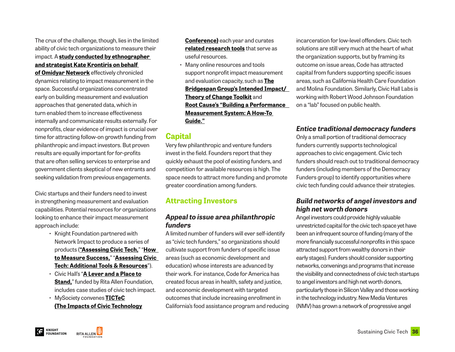The crux of the challenge, though, lies in the limited ability of civic tech organizations to measure their impact. A **[study conducted by ethnographer](https://www.slideshare.net/mysociety/the-state-of-civic-tech-impact-in-the-us)  [and strategist Kate Krontiris on behalf](https://www.slideshare.net/mysociety/the-state-of-civic-tech-impact-in-the-us)** 

**[of Omidyar Network](https://www.slideshare.net/mysociety/the-state-of-civic-tech-impact-in-the-us)** effectively chronicled dynamics relating to impact measurement in the space. Successful organizations concentrated early on building measurement and evaluation approaches that generated data, which in turn enabled them to increase effectiveness internally and communicate results externally. For nonprofits, clear evidence of impact is crucial over time for attracting follow-on growth funding from philanthropic and impact investors. But proven results are equally important for for-profits that are often selling services to enterprise and government clients skeptical of new entrants and seeking validation from previous engagements.

Civic startups and their funders need to invest in strengthening measurement and evaluation capabilities. Potential resources for organizations looking to enhance their impact measurement approach include:

- Knight Foundation partnered with Network Impact to produce a series of products (**["Assessing Civic Tech,](https://kf-site-production.s3.amazonaws.com/publications/pdfs/000/000/179/original/NI_Knight_CivicTechAssessment_Mar2015.pdf)**" "**[How](http://www.networkimpact.org/wp-content/uploads/2014/10/NetworkImpact_CivicTechAssessment_Mar2015.pdf)  [to Measure Success,](http://www.networkimpact.org/wp-content/uploads/2014/10/NetworkImpact_CivicTechAssessment_Mar2015.pdf)**" "**[Assessing Civic](http://www.networkimpact.org/civictechresources/)  [Tech: Additional Tools & Resources](http://www.networkimpact.org/civictechresources/)**").
- Civic Hall's "**[A Lever and a Place to](https://civichall.org/books/lever/) [Stand,](https://civichall.org/books/lever/)**" funded by Rita Allen Foundation, includes case studies of civic tech impact.
- MySociety convenes **[TICTeC](https://www.mysociety.org/research/tictec-2016/) [\(The Impacts of Civic Technology](https://www.mysociety.org/research/tictec-2016/)**

## **[Conference\)](https://www.mysociety.org/research/tictec-2016/)** each year and curates **[related research tools](https://www.mysociety.org/research/)** that serve as useful resources.

• Many online resources and tools support nonprofit impact measurement and evaluation capacity, such as **[The](https://www.bridgespan.org/insights/library/nonprofit-management-tools-and-trends/intended-impact-theory-of-change) [Bridgespan Group's Intended Impact/](https://www.bridgespan.org/insights/library/nonprofit-management-tools-and-trends/intended-impact-theory-of-change) [Theory of Change Toolkit](https://www.bridgespan.org/insights/library/nonprofit-management-tools-and-trends/intended-impact-theory-of-change) and [Root Cause's "Building a Performance](http://www.rootcause.org/resources2/building-a-performance-measurement-system-a-how-to-guide)  [Measurement System: A How-To](http://www.rootcause.org/resources2/building-a-performance-measurement-system-a-how-to-guide)  [Guide."](http://www.rootcause.org/resources2/building-a-performance-measurement-system-a-how-to-guide)**

# **Capital**

Very few philanthropic and venture funders invest in the field. Founders report that they quickly exhaust the pool of existing funders, and competition for available resources is high. The space needs to attract more funding and promote greater coordination among funders.

# **Attracting Investors**

# *Appeal to issue area philanthropic funders*

A limited number of funders will ever self-identify as "civic tech funders," so organizations should cultivate support from funders of specific issue areas (such as economic development and education) whose interests are advanced by their work. For instance, Code for America has created focus areas in health, safety and justice, and economic development with targeted outcomes that include increasing enrollment in California's food assistance program and reducing

incarceration for low-level offenders. Civic tech solutions are still very much at the heart of what the organization supports, but by framing its outcome on issue areas, Code has attracted capital from funders supporting specific issues areas, such as California Health Care Foundation and Molina Foundation. Similarly, Civic Hall Labs is working with Robert Wood Johnson Foundation on a "lab" focused on public health.

# *Entice traditional democracy funders*

Only a small portion of traditional democracy funders currently supports technological approaches to civic engagement. Civic tech funders should reach out to traditional democracy funders (including members of the Democracy Funders group) to identify opportunities where civic tech funding could advance their strategies.

# *Build networks of angel investors and high net worth donors*

Angel investors could provide highly valuable unrestricted capital for the civic tech space yet have been an infrequent source of funding (many of the more financially successful nonprofits in this space attracted support from wealthy donors in their early stages). Funders should consider supporting networks, convenings and programs that increase the visibility and connectedness of civic tech startups to angel investors and high net worth donors, particularly those in Silicon Valley and those working in the technology industry. New Media Ventures (NMV) has grown a network of progressive angel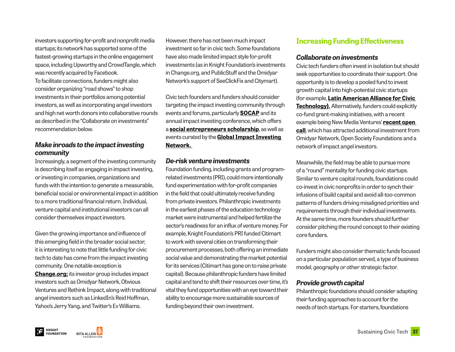investors supporting for-profit and nonprofit media startups; its network has supported some of the fastest-growing startups in the online engagement space, including Upworthy and CrowdTangle, which was recently acquired by Facebook. To facilitate connections, funders might also consider organizing "road shows" to shop investments in their portfolios among potential investors, as well as incorporating angel investors and high net worth donors into collaborative rounds as described in the "Collaborate on investments" recommendation below.

# *Make inroads to the impact investing community*

Increasingly, a segment of the investing community is describing itself as engaging in impact investing, or investing in companies, organizations and funds with the intention to generate a measurable, beneficial social or environmental impact in addition to a more traditional financial return. Individual, venture capital and institutional investors can all consider themselves impact investors.

Given the growing importance and influence of this emerging field in the broader social sector, it is interesting to note that little funding for civic tech to date has come from the impact investing community. One notable exception is **[Change.org;](http://change.org/)** its investor group includes impact investors such as Omidyar Network, Obvious Ventures and Rethink Impact, along with traditional angel investors such as LinkedIn's Reid Hoffman, Yahoo's Jerry Yang, and Twitter's Ev Williams.

However, there has not been much impact investment so far in civic tech. Some foundations have also made limited impact style for-profit investments (as in Knight Foundation's investments in Change.org, and PublicStuff and the Omidyar Network's support of SeeClickFix and Citymart).

Civic tech founders and funders should consider targeting the impact investing community through events and forums, particularly **[SOCAP](http://socialcapitalmarkets.net/)** and its annual impact investing conference, which offers a **[social entrepreneurs scholarship](https://teconocpgk.formstack.com/forms/socap17_socent_application)**, as well as events curated by the **[Global Impact Investing](https://thegiin.org/news-and-events/)  [Network.](https://thegiin.org/news-and-events/)** 

## *De-risk venture investments*

Foundation funding, including grants and programrelated investments (PRI), could more intentionally fund experimentation with for-profit companies in the field that could ultimately receive funding from private investors. Philanthropic investments in the earliest phases of the education technology market were instrumental and helped fertilize the sector's readiness for an influx of venture money. For example, Knight Foundation's PRI funded Citimart to work with several cities on transforming their procurement processes, both offering an immediate social value and demonstrating the market potential for its services (Citimart has gone on to raise private capital). Because philanthropic funders have limited capital and tend to shift their resources over time, it's vital they fund opportunities with an eye toward their ability to encourage more sustainable sources of funding beyond their own investment.

# **Increasing Funding Effectiveness**

## *Collaborate on investments*

Civic tech funders often invest in isolation but should seek opportunities to coordinate their support. One opportunity is to develop a pooled fund to invest growth capital into high-potential civic startups (for example, **[Latin American Alliance for Civic](http://www.prnewswire.com/news-releases/omidyar-network-invests-29m-in-new-latin-american-alliance-for-civic-technology-to-accelerate-and-scale-innovation-across-the-region-300408596.html)  [Technology\).](http://www.prnewswire.com/news-releases/omidyar-network-invests-29m-in-new-latin-american-alliance-for-civic-technology-to-accelerate-and-scale-innovation-across-the-region-300408596.html)** Alternatively, funders could explicitly co-fund grant-making initiatives, with a recent example being New Media Ventures' **[recent open](http://www.newmediaventures.org/6th-innovation-fund-open-call/)  [call](http://www.newmediaventures.org/6th-innovation-fund-open-call/)**, which has attracted additional investment from Omidyar Network, Open Society Foundations and a network of impact angel investors.

Meanwhile, the field may be able to pursue more of a "round" mentality for funding civic startups. Similar to venture capital rounds, foundations could co-invest in civic nonprofits in order to synch their infusions of build capital and avoid all-too-common patterns of funders driving misaligned priorities and requirements through their individual investments. At the same time, more founders should further consider pitching the round concept to their existing core funders.

Funders might also consider thematic funds focused on a particular population served, a type of business model, geography or other strategic factor.

## *Provide growth capital*

Philanthropic foundations should consider adapting their funding approaches to account for the needs of tech startups. For starters, foundations

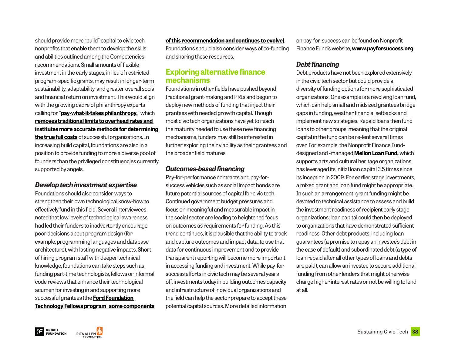should provide more "build" capital to civic tech nonprofits that enable them to develop the skills and abilities outlined among the Competencies recommendations. Small amounts of flexible investment in the early stages, in lieu of restricted program-specific grants, may result in longer-term sustainability, adaptability, and greater overall social and financial return on investment. This would align with the growing cadre of philanthropy experts calling for "**[pay-what-it-takes philanthropy,](https://ssir.org/up_for_debate/article/pay_what_it_takes_philanthropy)**" which **[removes traditional limits to overhead rates and](https://nonprofitquarterly.org/2016/01/25/why-funding-overhead-is-not-the-real-issue-the-case-to-cover-full-costs/)  [institutes more accurate methods for determining](https://nonprofitquarterly.org/2016/01/25/why-funding-overhead-is-not-the-real-issue-the-case-to-cover-full-costs/)  [the true full costs](https://nonprofitquarterly.org/2016/01/25/why-funding-overhead-is-not-the-real-issue-the-case-to-cover-full-costs/)** of successful organizations. In increasing build capital, foundations are also in a position to provide funding to more a diverse pool of founders than the privileged constituencies currently supported by angels.

### *Develop tech investment expertise*

Foundations should also consider ways to strengthen their own technological know-how to effectively fund in this field. Several interviewees noted that low levels of technological awareness had led their funders to inadvertently encourage poor decisions about program design (for example, programming languages and database architecture), with lasting negative impacts. Short of hiring program staff with deeper technical knowledge, foundations can take steps such as funding part-time technologists, fellows or informal code reviews that enhance their technological acumen for investing in and supporting more successful grantees (the **[Ford Foundation](https://www.fordfoundation.org/ideas/equals-change-blog/posts/technologists-for-social-justice-why-ford-is-hiring-more-tech-fellows/)  [Technology Fellows program some components](https://www.fordfoundation.org/ideas/equals-change-blog/posts/technologists-for-social-justice-why-ford-is-hiring-more-tech-fellows/)**  **[of this recommendation and continues to evolve\)](https://www.fordfoundation.org/ideas/equals-change-blog/posts/technologists-for-social-justice-why-ford-is-hiring-more-tech-fellows/)**. Foundations should also consider ways of co-funding and sharing these resources.

# **Exploring alternative finance mechanisms**

Foundations in other fields have pushed beyond traditional grant-making and PRIs and begun to deploy new methods of funding that inject their grantees with needed growth capital. Though most civic tech organizations have yet to reach the maturity needed to use these new financing mechanisms, funders may still be interested in further exploring their viability as their grantees and the broader field matures.

## *Outcomes-based financing*

Pay-for-performance contracts and pay-forsuccess vehicles such as social impact bonds are future potential sources of capital for civic tech. Continued government budget pressures and focus on meaningful and measurable impact in the social sector are leading to heightened focus on outcomes as requirements for funding. As this trend continues, it is plausible that the ability to track and capture outcomes and impact data, to use that data for continuous improvement and to provide transparent reporting will become more important in accessing funding and investment. While pay-forsuccess efforts in civic tech may be several years off, investments today in building outcomes capacity and infrastructure of individual organizations and the field can help the sector prepare to accept these potential capital sources. More detailed information

on pay-for-success can be found on Nonprofit Finance Fund's website, **[www.payforsuccess.org](http://www.payforsuccess.org/)**.

## *Debt financing*

Debt products have not been explored extensively in the civic tech sector but could provide a diversity of funding options for more sophisticated organizations. One example is a revolving loan fund, which can help small and midsized grantees bridge gaps in funding, weather financial setbacks and implement new strategies. Repaid loans then fund loans to other groups, meaning that the original capital in the fund can be re-lent several times over. For example, the Nonprofit Finance Funddesigned and -managed **[Mellon Loan Fund,](http://www.nonprofitfinancefund.org/page/mellon-loan-fund)** which supports arts and cultural heritage organizations, has leveraged its initial loan capital 3.5 times since its inception in 2009. For earlier stage investments, a mixed grant and loan fund might be appropriate. In such an arrangement, grant funding might be devoted to technical assistance to assess and build the investment readiness of recipient early stage organizations; loan capital could then be deployed to organizations that have demonstrated sufficient readiness. Other debt products, including loan guarantees (a promise to repay an investee's debt in the case of default) and subordinated debt (a type of loan repaid after all other types of loans and debts are paid), can allow an investee to secure additional funding from other lenders that might otherwise charge higher interest rates or not be willing to lend at all.

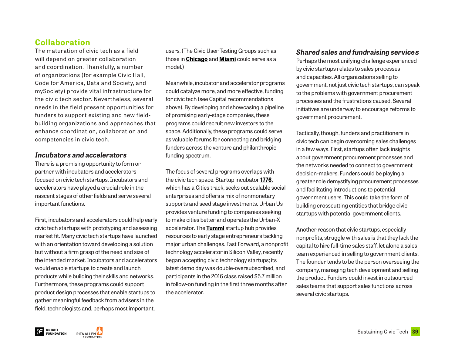# **Collaboration**

The maturation of civic tech as a field will depend on greater collaboration and coordination. Thankfully, a number of organizations (for example Civic Hall, Code for America, Data and Society, and mySociety) provide vital infrastructure for the civic tech sector. Nevertheless, several needs in the field present opportunities for funders to support existing and new fieldbuilding organizations and approaches that enhance coordination, collaboration and competencies in civic tech.

## *Incubators and accelerators*

There is a promising opportunity to form or partner with incubators and accelerators focused on civic tech startups. Incubators and accelerators have played a crucial role in the nascent stages of other fields and serve several important functions.

First, incubators and accelerators could help early civic tech startups with prototyping and assessing market fit. Many civic tech startups have launched with an orientation toward developing a solution but without a firm grasp of the need and size of the intended market. Incubators and accelerators would enable startups to create and launch products while building their skills and networks. Furthermore, these programs could support product design processes that enable startups to gather meaningful feedback from advisers in the field, technologists and, perhaps most important,

users. (The Civic User Testing Groups such as those in **[Chicago](http://www.cutgroup.org/)** and **[Miami](http://cutgroup.miami/)** could serve as a model.)

Meanwhile, incubator and accelerator programs could catalyze more, and more effective, funding for civic tech (see Capital recommendations above). By developing and showcasing a pipeline of promising early-stage companies, these programs could recruit new investors to the space. Additionally, these programs could serve as valuable forums for connecting and bridging funders across the venture and philanthropic funding spectrum.

The focus of several programs overlaps with the civic tech space. Startup incubator **[1776](https://www.1776.vc/)**, which has a Cities track, seeks out scalable social enterprises and offers a mix of nonmonetary supports and seed stage investments. Urban Us provides venture funding to companies seeking to make cities better and operates the Urban-X accelerator. The **[Tumml](http://www.tumml.org/)** startup hub provides resources to early stage entrepreneurs tackling major urban challenges. Fast Forward, a nonprofit technology accelerator in Silicon Valley, recently began accepting civic technology startups; its latest demo day was double-oversubscribed, and participants in the 2016 class raised \$5.7 million in follow-on funding in the first three months after the accelerator.

## *Shared sales and fundraising services*

Perhaps the most unifying challenge experienced by civic startups relates to sales processes and capacities. All organizations selling to government, not just civic tech startups, can speak to the problems with government procurement processes and the frustrations caused. Several initiatives are underway to encourage reforms to government procurement.

Tactically, though, funders and practitioners in civic tech can begin overcoming sales challenges in a few ways. First, startups often lack insights about government procurement processes and the networks needed to connect to government decision-makers. Funders could be playing a greater role demystifying procurement processes and facilitating introductions to potential government users. This could take the form of building crosscutting entities that bridge civic startups with potential government clients.

Another reason that civic startups, especially nonprofits, struggle with sales is that they lack the capital to hire full-time sales staff, let alone a sales team experienced in selling to government clients. The founder tends to be the person overseeing the company, managing tech development and selling the product. Funders could invest in outsourced sales teams that support sales functions across several civic startups.

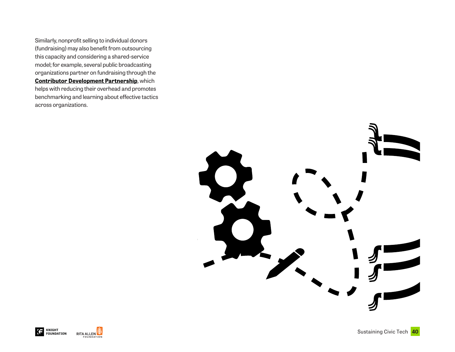Similarly, nonprofit selling to individual donors (fundraising) may also benefit from outsourcing this capacity and considering a shared-service model; for example, several public broadcasting organizations partner on fundraising through the **[Contributor Development Partnership](https://ssir.org/articles/entry/collaborative_fundraising)**, which helps with reducing their overhead and promotes benchmarking and learning about effective tactics across organizations.





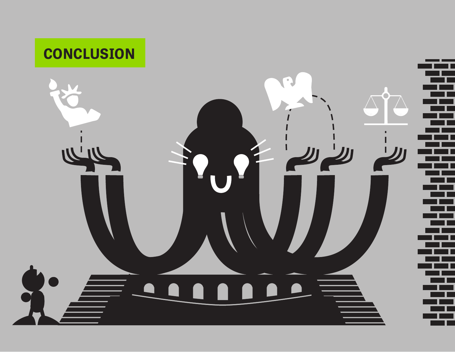